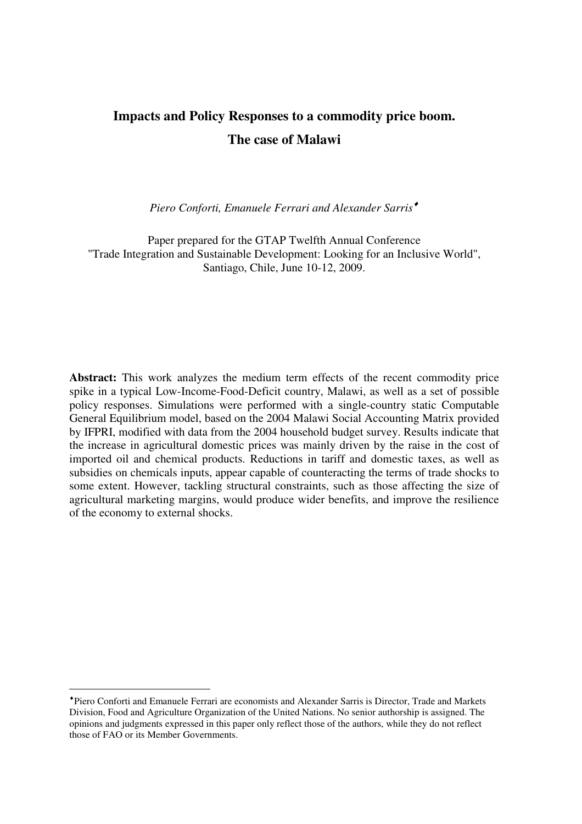# **Impacts and Policy Responses to a commodity price boom. The case of Malawi**

*Piero Conforti, Emanuele Ferrari and Alexander Sarris*♦

Paper prepared for the GTAP Twelfth Annual Conference "Trade Integration and Sustainable Development: Looking for an Inclusive World", Santiago, Chile, June 10-12, 2009.

**Abstract:** This work analyzes the medium term effects of the recent commodity price spike in a typical Low-Income-Food-Deficit country, Malawi, as well as a set of possible policy responses. Simulations were performed with a single-country static Computable General Equilibrium model, based on the 2004 Malawi Social Accounting Matrix provided by IFPRI, modified with data from the 2004 household budget survey. Results indicate that the increase in agricultural domestic prices was mainly driven by the raise in the cost of imported oil and chemical products. Reductions in tariff and domestic taxes, as well as subsidies on chemicals inputs, appear capable of counteracting the terms of trade shocks to some extent. However, tackling structural constraints, such as those affecting the size of agricultural marketing margins, would produce wider benefits, and improve the resilience of the economy to external shocks.

<sup>♦</sup> Piero Conforti and Emanuele Ferrari are economists and Alexander Sarris is Director, Trade and Markets Division, Food and Agriculture Organization of the United Nations. No senior authorship is assigned. The opinions and judgments expressed in this paper only reflect those of the authors, while they do not reflect those of FAO or its Member Governments.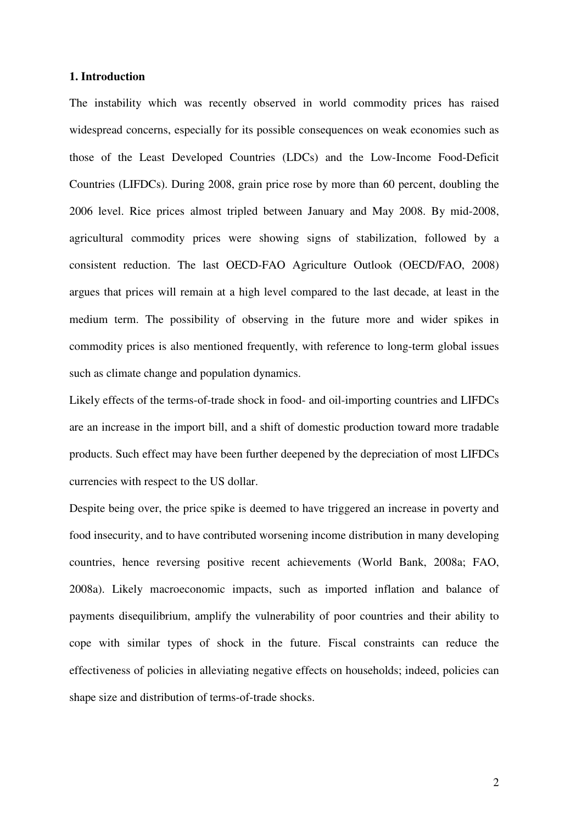## **1. Introduction**

The instability which was recently observed in world commodity prices has raised widespread concerns, especially for its possible consequences on weak economies such as those of the Least Developed Countries (LDCs) and the Low-Income Food-Deficit Countries (LIFDCs). During 2008, grain price rose by more than 60 percent, doubling the 2006 level. Rice prices almost tripled between January and May 2008. By mid-2008, agricultural commodity prices were showing signs of stabilization, followed by a consistent reduction. The last OECD-FAO Agriculture Outlook (OECD/FAO, 2008) argues that prices will remain at a high level compared to the last decade, at least in the medium term. The possibility of observing in the future more and wider spikes in commodity prices is also mentioned frequently, with reference to long-term global issues such as climate change and population dynamics.

Likely effects of the terms-of-trade shock in food- and oil-importing countries and LIFDCs are an increase in the import bill, and a shift of domestic production toward more tradable products. Such effect may have been further deepened by the depreciation of most LIFDCs currencies with respect to the US dollar.

Despite being over, the price spike is deemed to have triggered an increase in poverty and food insecurity, and to have contributed worsening income distribution in many developing countries, hence reversing positive recent achievements (World Bank, 2008a; FAO, 2008a). Likely macroeconomic impacts, such as imported inflation and balance of payments disequilibrium, amplify the vulnerability of poor countries and their ability to cope with similar types of shock in the future. Fiscal constraints can reduce the effectiveness of policies in alleviating negative effects on households; indeed, policies can shape size and distribution of terms-of-trade shocks.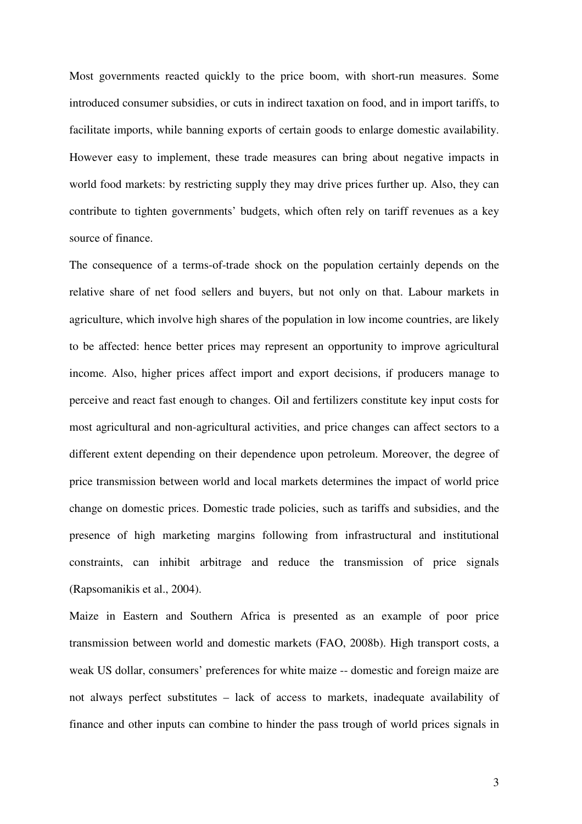Most governments reacted quickly to the price boom, with short-run measures. Some introduced consumer subsidies, or cuts in indirect taxation on food, and in import tariffs, to facilitate imports, while banning exports of certain goods to enlarge domestic availability. However easy to implement, these trade measures can bring about negative impacts in world food markets: by restricting supply they may drive prices further up. Also, they can contribute to tighten governments' budgets, which often rely on tariff revenues as a key source of finance.

The consequence of a terms-of-trade shock on the population certainly depends on the relative share of net food sellers and buyers, but not only on that. Labour markets in agriculture, which involve high shares of the population in low income countries, are likely to be affected: hence better prices may represent an opportunity to improve agricultural income. Also, higher prices affect import and export decisions, if producers manage to perceive and react fast enough to changes. Oil and fertilizers constitute key input costs for most agricultural and non-agricultural activities, and price changes can affect sectors to a different extent depending on their dependence upon petroleum. Moreover, the degree of price transmission between world and local markets determines the impact of world price change on domestic prices. Domestic trade policies, such as tariffs and subsidies, and the presence of high marketing margins following from infrastructural and institutional constraints, can inhibit arbitrage and reduce the transmission of price signals (Rapsomanikis et al., 2004).

Maize in Eastern and Southern Africa is presented as an example of poor price transmission between world and domestic markets (FAO, 2008b). High transport costs, a weak US dollar, consumers' preferences for white maize -- domestic and foreign maize are not always perfect substitutes – lack of access to markets, inadequate availability of finance and other inputs can combine to hinder the pass trough of world prices signals in

3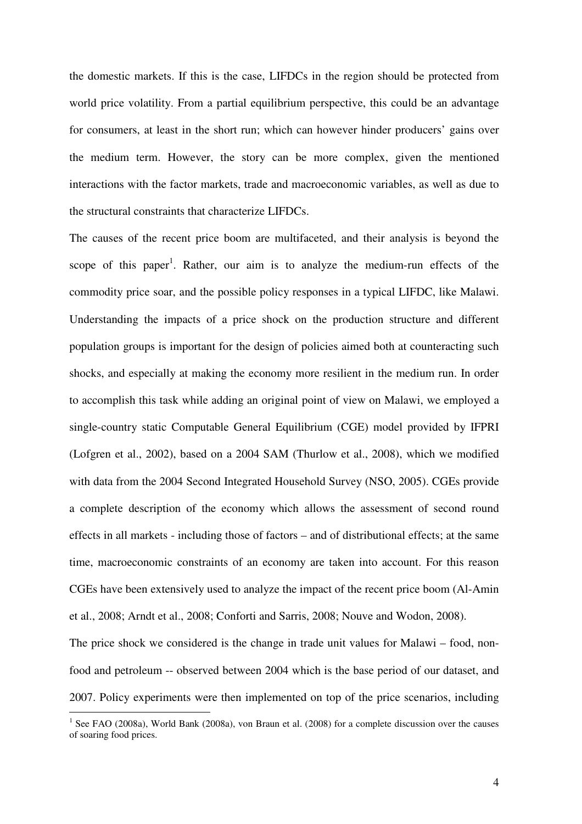the domestic markets. If this is the case, LIFDCs in the region should be protected from world price volatility. From a partial equilibrium perspective, this could be an advantage for consumers, at least in the short run; which can however hinder producers' gains over the medium term. However, the story can be more complex, given the mentioned interactions with the factor markets, trade and macroeconomic variables, as well as due to the structural constraints that characterize LIFDCs.

The causes of the recent price boom are multifaceted, and their analysis is beyond the scope of this paper<sup>1</sup>. Rather, our aim is to analyze the medium-run effects of the commodity price soar, and the possible policy responses in a typical LIFDC, like Malawi. Understanding the impacts of a price shock on the production structure and different population groups is important for the design of policies aimed both at counteracting such shocks, and especially at making the economy more resilient in the medium run. In order to accomplish this task while adding an original point of view on Malawi, we employed a single-country static Computable General Equilibrium (CGE) model provided by IFPRI (Lofgren et al., 2002), based on a 2004 SAM (Thurlow et al., 2008), which we modified with data from the 2004 Second Integrated Household Survey (NSO, 2005). CGEs provide a complete description of the economy which allows the assessment of second round effects in all markets - including those of factors – and of distributional effects; at the same time, macroeconomic constraints of an economy are taken into account. For this reason CGEs have been extensively used to analyze the impact of the recent price boom (Al-Amin et al., 2008; Arndt et al., 2008; Conforti and Sarris, 2008; Nouve and Wodon, 2008). The price shock we considered is the change in trade unit values for Malawi – food, nonfood and petroleum -- observed between 2004 which is the base period of our dataset, and

2007. Policy experiments were then implemented on top of the price scenarios, including

<sup>&</sup>lt;sup>1</sup> See FAO (2008a), World Bank (2008a), von Braun et al. (2008) for a complete discussion over the causes of soaring food prices.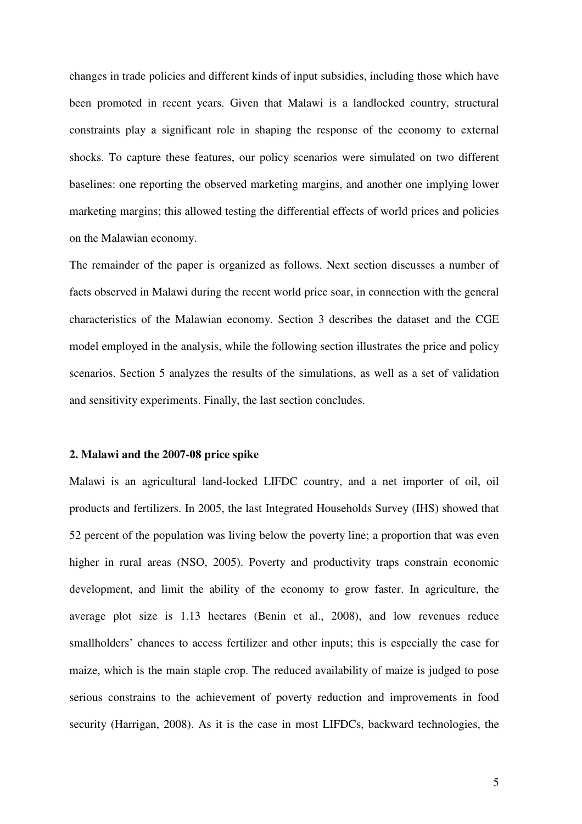changes in trade policies and different kinds of input subsidies, including those which have been promoted in recent years. Given that Malawi is a landlocked country, structural constraints play a significant role in shaping the response of the economy to external shocks. To capture these features, our policy scenarios were simulated on two different baselines: one reporting the observed marketing margins, and another one implying lower marketing margins; this allowed testing the differential effects of world prices and policies on the Malawian economy.

The remainder of the paper is organized as follows. Next section discusses a number of facts observed in Malawi during the recent world price soar, in connection with the general characteristics of the Malawian economy. Section 3 describes the dataset and the CGE model employed in the analysis, while the following section illustrates the price and policy scenarios. Section 5 analyzes the results of the simulations, as well as a set of validation and sensitivity experiments. Finally, the last section concludes.

## **2. Malawi and the 2007-08 price spike**

Malawi is an agricultural land-locked LIFDC country, and a net importer of oil, oil products and fertilizers. In 2005, the last Integrated Households Survey (IHS) showed that 52 percent of the population was living below the poverty line; a proportion that was even higher in rural areas (NSO, 2005). Poverty and productivity traps constrain economic development, and limit the ability of the economy to grow faster. In agriculture, the average plot size is 1.13 hectares (Benin et al., 2008), and low revenues reduce smallholders' chances to access fertilizer and other inputs; this is especially the case for maize, which is the main staple crop. The reduced availability of maize is judged to pose serious constrains to the achievement of poverty reduction and improvements in food security (Harrigan, 2008). As it is the case in most LIFDCs, backward technologies, the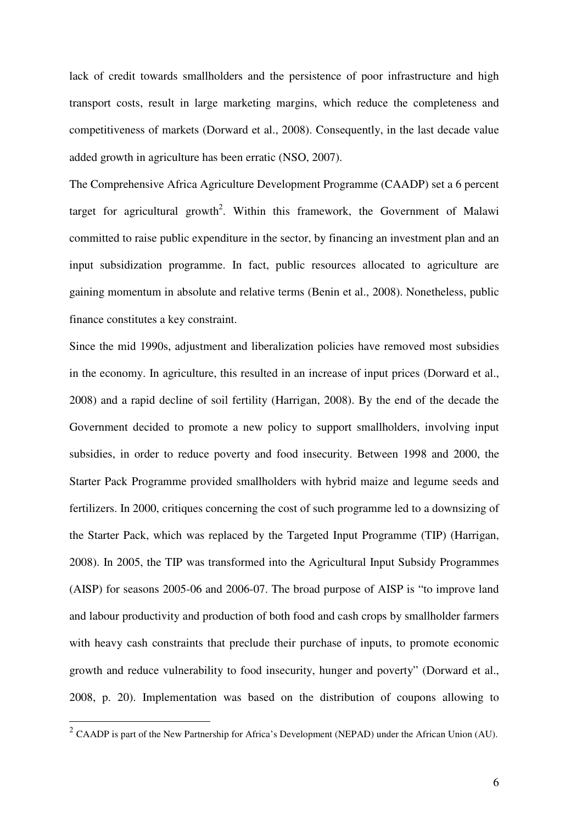lack of credit towards smallholders and the persistence of poor infrastructure and high transport costs, result in large marketing margins, which reduce the completeness and competitiveness of markets (Dorward et al., 2008). Consequently, in the last decade value added growth in agriculture has been erratic (NSO, 2007).

The Comprehensive Africa Agriculture Development Programme (CAADP) set a 6 percent target for agricultural growth<sup>2</sup>. Within this framework, the Government of Malawi committed to raise public expenditure in the sector, by financing an investment plan and an input subsidization programme. In fact, public resources allocated to agriculture are gaining momentum in absolute and relative terms (Benin et al., 2008). Nonetheless, public finance constitutes a key constraint.

Since the mid 1990s, adjustment and liberalization policies have removed most subsidies in the economy. In agriculture, this resulted in an increase of input prices (Dorward et al., 2008) and a rapid decline of soil fertility (Harrigan, 2008). By the end of the decade the Government decided to promote a new policy to support smallholders, involving input subsidies, in order to reduce poverty and food insecurity. Between 1998 and 2000, the Starter Pack Programme provided smallholders with hybrid maize and legume seeds and fertilizers. In 2000, critiques concerning the cost of such programme led to a downsizing of the Starter Pack, which was replaced by the Targeted Input Programme (TIP) (Harrigan, 2008). In 2005, the TIP was transformed into the Agricultural Input Subsidy Programmes (AISP) for seasons 2005-06 and 2006-07. The broad purpose of AISP is "to improve land and labour productivity and production of both food and cash crops by smallholder farmers with heavy cash constraints that preclude their purchase of inputs, to promote economic growth and reduce vulnerability to food insecurity, hunger and poverty" (Dorward et al., 2008, p. 20). Implementation was based on the distribution of coupons allowing to

<sup>&</sup>lt;sup>2</sup> CAADP is part of the New Partnership for Africa's Development (NEPAD) under the African Union (AU).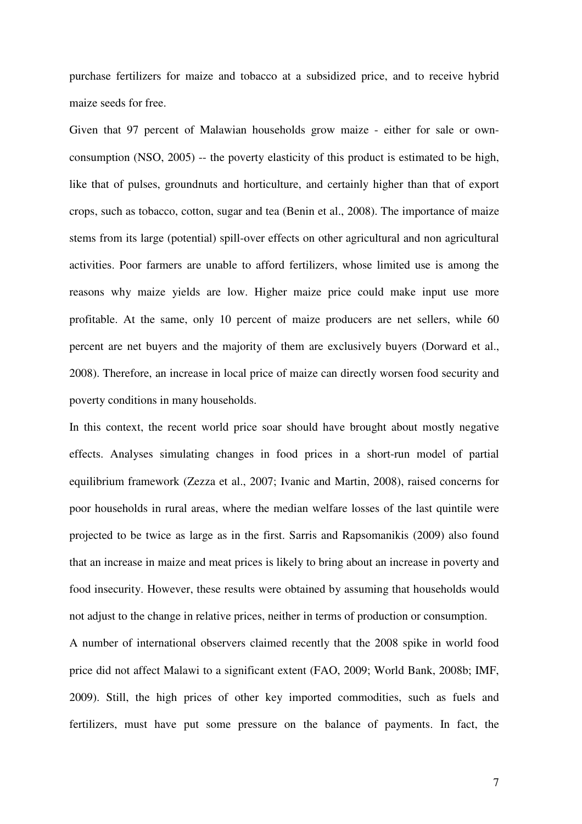purchase fertilizers for maize and tobacco at a subsidized price, and to receive hybrid maize seeds for free.

Given that 97 percent of Malawian households grow maize - either for sale or ownconsumption (NSO, 2005) -- the poverty elasticity of this product is estimated to be high, like that of pulses, groundnuts and horticulture, and certainly higher than that of export crops, such as tobacco, cotton, sugar and tea (Benin et al., 2008). The importance of maize stems from its large (potential) spill-over effects on other agricultural and non agricultural activities. Poor farmers are unable to afford fertilizers, whose limited use is among the reasons why maize yields are low. Higher maize price could make input use more profitable. At the same, only 10 percent of maize producers are net sellers, while 60 percent are net buyers and the majority of them are exclusively buyers (Dorward et al., 2008). Therefore, an increase in local price of maize can directly worsen food security and poverty conditions in many households.

In this context, the recent world price soar should have brought about mostly negative effects. Analyses simulating changes in food prices in a short-run model of partial equilibrium framework (Zezza et al., 2007; Ivanic and Martin, 2008), raised concerns for poor households in rural areas, where the median welfare losses of the last quintile were projected to be twice as large as in the first. Sarris and Rapsomanikis (2009) also found that an increase in maize and meat prices is likely to bring about an increase in poverty and food insecurity. However, these results were obtained by assuming that households would not adjust to the change in relative prices, neither in terms of production or consumption.

A number of international observers claimed recently that the 2008 spike in world food price did not affect Malawi to a significant extent (FAO, 2009; World Bank, 2008b; IMF, 2009). Still, the high prices of other key imported commodities, such as fuels and fertilizers, must have put some pressure on the balance of payments. In fact, the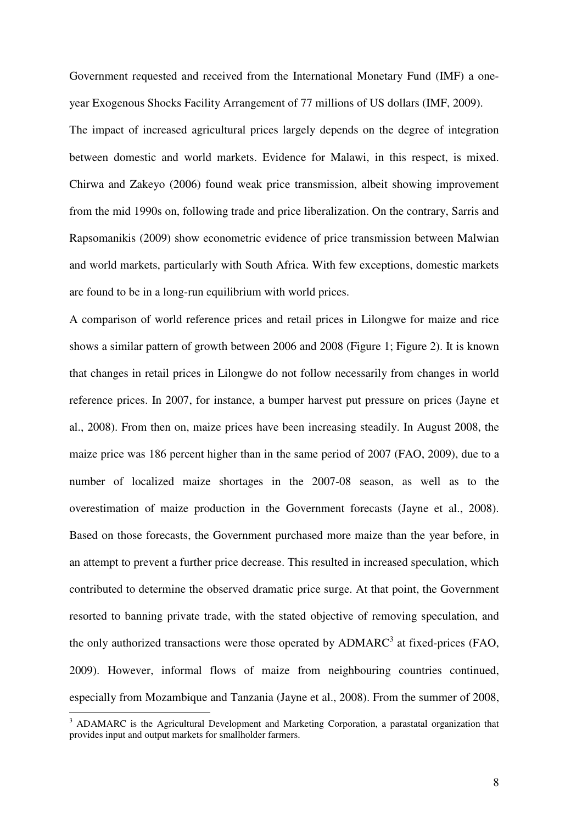Government requested and received from the International Monetary Fund (IMF) a oneyear Exogenous Shocks Facility Arrangement of 77 millions of US dollars (IMF, 2009). The impact of increased agricultural prices largely depends on the degree of integration between domestic and world markets. Evidence for Malawi, in this respect, is mixed. Chirwa and Zakeyo (2006) found weak price transmission, albeit showing improvement from the mid 1990s on, following trade and price liberalization. On the contrary, Sarris and Rapsomanikis (2009) show econometric evidence of price transmission between Malwian and world markets, particularly with South Africa. With few exceptions, domestic markets are found to be in a long-run equilibrium with world prices.

A comparison of world reference prices and retail prices in Lilongwe for maize and rice shows a similar pattern of growth between 2006 and 2008 (Figure 1; Figure 2). It is known that changes in retail prices in Lilongwe do not follow necessarily from changes in world reference prices. In 2007, for instance, a bumper harvest put pressure on prices (Jayne et al., 2008). From then on, maize prices have been increasing steadily. In August 2008, the maize price was 186 percent higher than in the same period of 2007 (FAO, 2009), due to a number of localized maize shortages in the 2007-08 season, as well as to the overestimation of maize production in the Government forecasts (Jayne et al., 2008). Based on those forecasts, the Government purchased more maize than the year before, in an attempt to prevent a further price decrease. This resulted in increased speculation, which contributed to determine the observed dramatic price surge. At that point, the Government resorted to banning private trade, with the stated objective of removing speculation, and the only authorized transactions were those operated by  $\triangle DMARC^3$  at fixed-prices (FAO, 2009). However, informal flows of maize from neighbouring countries continued, especially from Mozambique and Tanzania (Jayne et al., 2008). From the summer of 2008,

<sup>&</sup>lt;sup>3</sup> ADAMARC is the Agricultural Development and Marketing Corporation, a parastatal organization that provides input and output markets for smallholder farmers.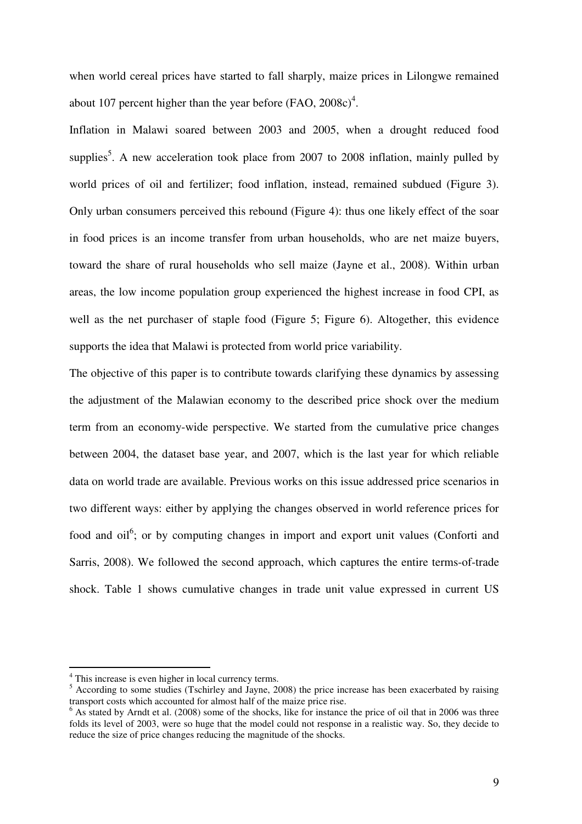when world cereal prices have started to fall sharply, maize prices in Lilongwe remained about 107 percent higher than the year before  $(FAO, 2008c)^4$ .

Inflation in Malawi soared between 2003 and 2005, when a drought reduced food supplies<sup>5</sup>. A new acceleration took place from 2007 to 2008 inflation, mainly pulled by world prices of oil and fertilizer; food inflation, instead, remained subdued (Figure 3). Only urban consumers perceived this rebound (Figure 4): thus one likely effect of the soar in food prices is an income transfer from urban households, who are net maize buyers, toward the share of rural households who sell maize (Jayne et al., 2008). Within urban areas, the low income population group experienced the highest increase in food CPI, as well as the net purchaser of staple food (Figure 5; Figure 6). Altogether, this evidence supports the idea that Malawi is protected from world price variability.

The objective of this paper is to contribute towards clarifying these dynamics by assessing the adjustment of the Malawian economy to the described price shock over the medium term from an economy-wide perspective. We started from the cumulative price changes between 2004, the dataset base year, and 2007, which is the last year for which reliable data on world trade are available. Previous works on this issue addressed price scenarios in two different ways: either by applying the changes observed in world reference prices for food and oil<sup>6</sup>; or by computing changes in import and export unit values (Conforti and Sarris, 2008). We followed the second approach, which captures the entire terms-of-trade shock. Table 1 shows cumulative changes in trade unit value expressed in current US

<sup>&</sup>lt;sup>4</sup> This increase is even higher in local currency terms.

<sup>&</sup>lt;sup>5</sup> According to some studies (Tschirley and Jayne, 2008) the price increase has been exacerbated by raising transport costs which accounted for almost half of the maize price rise.

 $<sup>6</sup>$  As stated by Arndt et al. (2008) some of the shocks, like for instance the price of oil that in 2006 was three</sup> folds its level of 2003, were so huge that the model could not response in a realistic way. So, they decide to reduce the size of price changes reducing the magnitude of the shocks.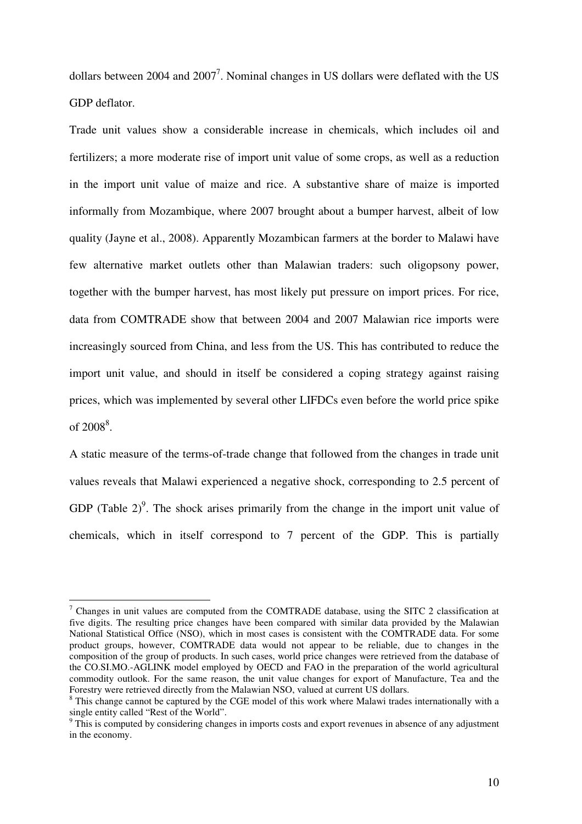dollars between 2004 and 2007<sup>7</sup>. Nominal changes in US dollars were deflated with the US GDP deflator.

Trade unit values show a considerable increase in chemicals, which includes oil and fertilizers; a more moderate rise of import unit value of some crops, as well as a reduction in the import unit value of maize and rice. A substantive share of maize is imported informally from Mozambique, where 2007 brought about a bumper harvest, albeit of low quality (Jayne et al., 2008). Apparently Mozambican farmers at the border to Malawi have few alternative market outlets other than Malawian traders: such oligopsony power, together with the bumper harvest, has most likely put pressure on import prices. For rice, data from COMTRADE show that between 2004 and 2007 Malawian rice imports were increasingly sourced from China, and less from the US. This has contributed to reduce the import unit value, and should in itself be considered a coping strategy against raising prices, which was implemented by several other LIFDCs even before the world price spike of  $2008^8$ .

A static measure of the terms-of-trade change that followed from the changes in trade unit values reveals that Malawi experienced a negative shock, corresponding to 2.5 percent of GDP (Table  $2$ )<sup>9</sup>. The shock arises primarily from the change in the import unit value of chemicals, which in itself correspond to 7 percent of the GDP. This is partially

<sup>&</sup>lt;sup>7</sup> Changes in unit values are computed from the COMTRADE database, using the SITC 2 classification at five digits. The resulting price changes have been compared with similar data provided by the Malawian National Statistical Office (NSO), which in most cases is consistent with the COMTRADE data. For some product groups, however, COMTRADE data would not appear to be reliable, due to changes in the composition of the group of products. In such cases, world price changes were retrieved from the database of the CO.SI.MO.-AGLINK model employed by OECD and FAO in the preparation of the world agricultural commodity outlook. For the same reason, the unit value changes for export of Manufacture, Tea and the Forestry were retrieved directly from the Malawian NSO, valued at current US dollars.

<sup>&</sup>lt;sup>8</sup> This change cannot be captured by the CGE model of this work where Malawi trades internationally with a single entity called "Rest of the World".

<sup>&</sup>lt;sup>9</sup> This is computed by considering changes in imports costs and export revenues in absence of any adjustment in the economy.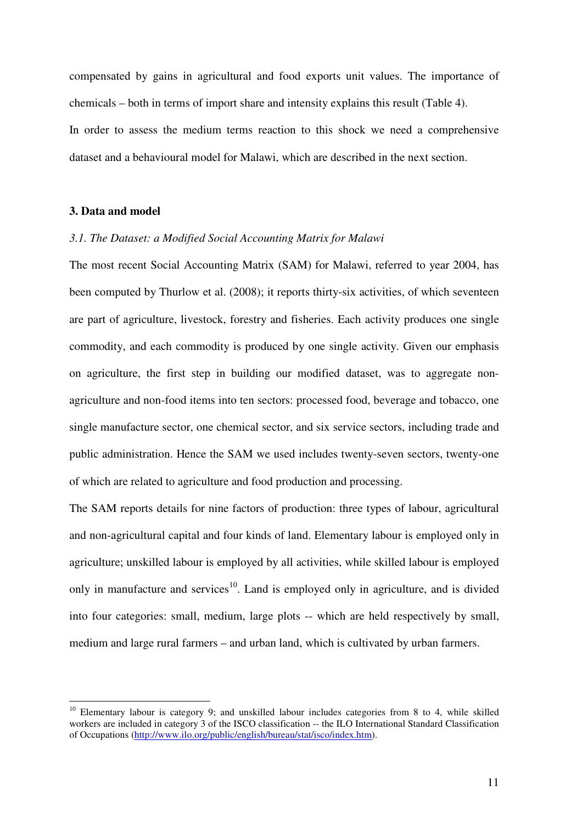compensated by gains in agricultural and food exports unit values. The importance of chemicals – both in terms of import share and intensity explains this result (Table 4). In order to assess the medium terms reaction to this shock we need a comprehensive dataset and a behavioural model for Malawi, which are described in the next section.

## **3. Data and model**

 $\overline{a}$ 

### *3.1. The Dataset: a Modified Social Accounting Matrix for Malawi*

The most recent Social Accounting Matrix (SAM) for Malawi, referred to year 2004, has been computed by Thurlow et al. (2008); it reports thirty-six activities, of which seventeen are part of agriculture, livestock, forestry and fisheries. Each activity produces one single commodity, and each commodity is produced by one single activity. Given our emphasis on agriculture, the first step in building our modified dataset, was to aggregate nonagriculture and non-food items into ten sectors: processed food, beverage and tobacco, one single manufacture sector, one chemical sector, and six service sectors, including trade and public administration. Hence the SAM we used includes twenty-seven sectors, twenty-one of which are related to agriculture and food production and processing.

The SAM reports details for nine factors of production: three types of labour, agricultural and non-agricultural capital and four kinds of land. Elementary labour is employed only in agriculture; unskilled labour is employed by all activities, while skilled labour is employed only in manufacture and services<sup>10</sup>. Land is employed only in agriculture, and is divided into four categories: small, medium, large plots -- which are held respectively by small, medium and large rural farmers – and urban land, which is cultivated by urban farmers.

<sup>&</sup>lt;sup>10</sup> Elementary labour is category 9; and unskilled labour includes categories from 8 to 4, while skilled workers are included in category 3 of the ISCO classification -- the ILO International Standard Classification of Occupations (http://www.ilo.org/public/english/bureau/stat/isco/index.htm).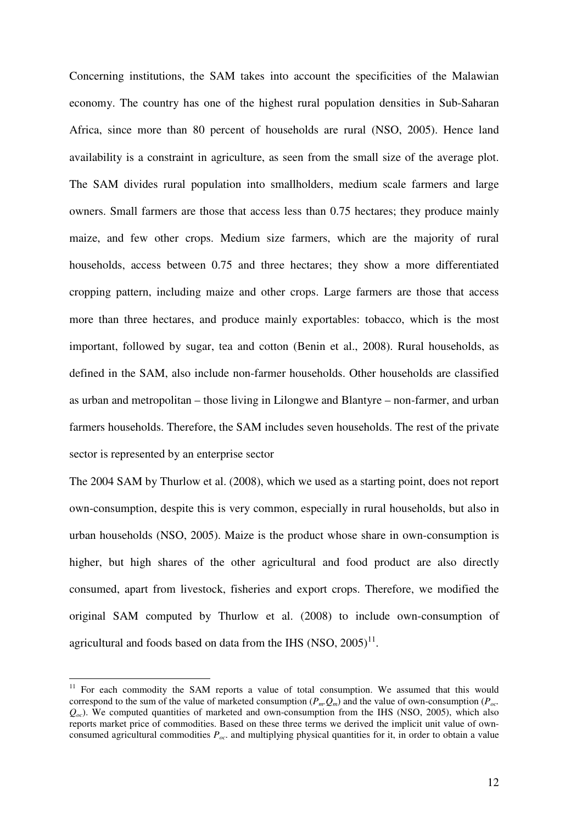Concerning institutions, the SAM takes into account the specificities of the Malawian economy. The country has one of the highest rural population densities in Sub-Saharan Africa, since more than 80 percent of households are rural (NSO, 2005). Hence land availability is a constraint in agriculture, as seen from the small size of the average plot. The SAM divides rural population into smallholders, medium scale farmers and large owners. Small farmers are those that access less than 0.75 hectares; they produce mainly maize, and few other crops. Medium size farmers, which are the majority of rural households, access between 0.75 and three hectares; they show a more differentiated cropping pattern, including maize and other crops. Large farmers are those that access more than three hectares, and produce mainly exportables: tobacco, which is the most important, followed by sugar, tea and cotton (Benin et al., 2008). Rural households, as defined in the SAM, also include non-farmer households. Other households are classified as urban and metropolitan – those living in Lilongwe and Blantyre – non-farmer, and urban farmers households. Therefore, the SAM includes seven households. The rest of the private sector is represented by an enterprise sector

The 2004 SAM by Thurlow et al. (2008), which we used as a starting point, does not report own-consumption, despite this is very common, especially in rural households, but also in urban households (NSO, 2005). Maize is the product whose share in own-consumption is higher, but high shares of the other agricultural and food product are also directly consumed, apart from livestock, fisheries and export crops. Therefore, we modified the original SAM computed by Thurlow et al. (2008) to include own-consumption of agricultural and foods based on data from the IHS  $(NSO, 2005)^{11}$ .

 $11$  For each commodity the SAM reports a value of total consumption. We assumed that this would correspond to the sum of the value of marketed consumption  $(P_m, Q_m)$  and the value of own-consumption  $(P_{\text{occ}})$  $Q_{\alpha c}$ ). We computed quantities of marketed and own-consumption from the IHS (NSO, 2005), which also reports market price of commodities. Based on these three terms we derived the implicit unit value of ownconsumed agricultural commodities *Poc*. and multiplying physical quantities for it, in order to obtain a value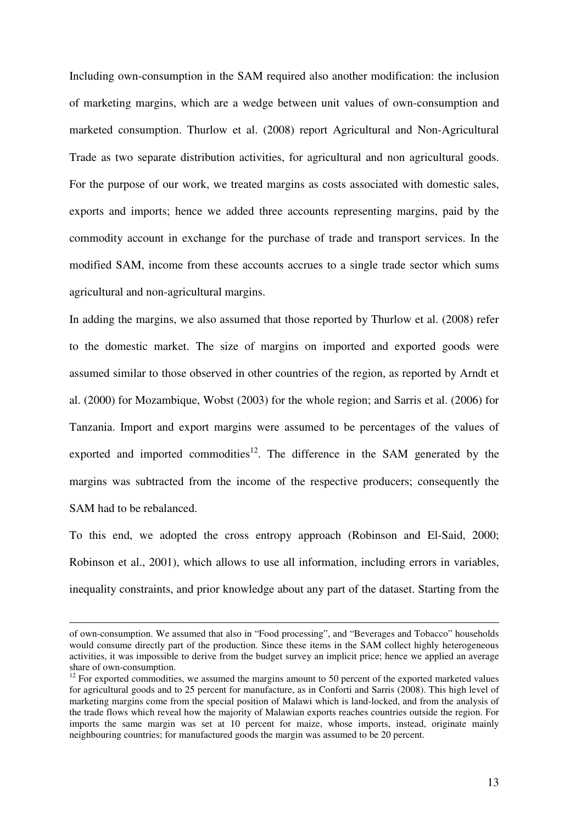Including own-consumption in the SAM required also another modification: the inclusion of marketing margins, which are a wedge between unit values of own-consumption and marketed consumption. Thurlow et al. (2008) report Agricultural and Non-Agricultural Trade as two separate distribution activities, for agricultural and non agricultural goods. For the purpose of our work, we treated margins as costs associated with domestic sales, exports and imports; hence we added three accounts representing margins, paid by the commodity account in exchange for the purchase of trade and transport services. In the modified SAM, income from these accounts accrues to a single trade sector which sums agricultural and non-agricultural margins.

In adding the margins, we also assumed that those reported by Thurlow et al. (2008) refer to the domestic market. The size of margins on imported and exported goods were assumed similar to those observed in other countries of the region, as reported by Arndt et al. (2000) for Mozambique, Wobst (2003) for the whole region; and Sarris et al. (2006) for Tanzania. Import and export margins were assumed to be percentages of the values of exported and imported commodities<sup>12</sup>. The difference in the SAM generated by the margins was subtracted from the income of the respective producers; consequently the SAM had to be rebalanced.

To this end, we adopted the cross entropy approach (Robinson and El-Said, 2000; Robinson et al., 2001), which allows to use all information, including errors in variables, inequality constraints, and prior knowledge about any part of the dataset. Starting from the

of own-consumption. We assumed that also in "Food processing", and "Beverages and Tobacco" households would consume directly part of the production. Since these items in the SAM collect highly heterogeneous activities, it was impossible to derive from the budget survey an implicit price; hence we applied an average share of own-consumption.

 $12$  For exported commodities, we assumed the margins amount to 50 percent of the exported marketed values for agricultural goods and to 25 percent for manufacture, as in Conforti and Sarris (2008). This high level of marketing margins come from the special position of Malawi which is land-locked, and from the analysis of the trade flows which reveal how the majority of Malawian exports reaches countries outside the region. For imports the same margin was set at 10 percent for maize, whose imports, instead, originate mainly neighbouring countries; for manufactured goods the margin was assumed to be 20 percent.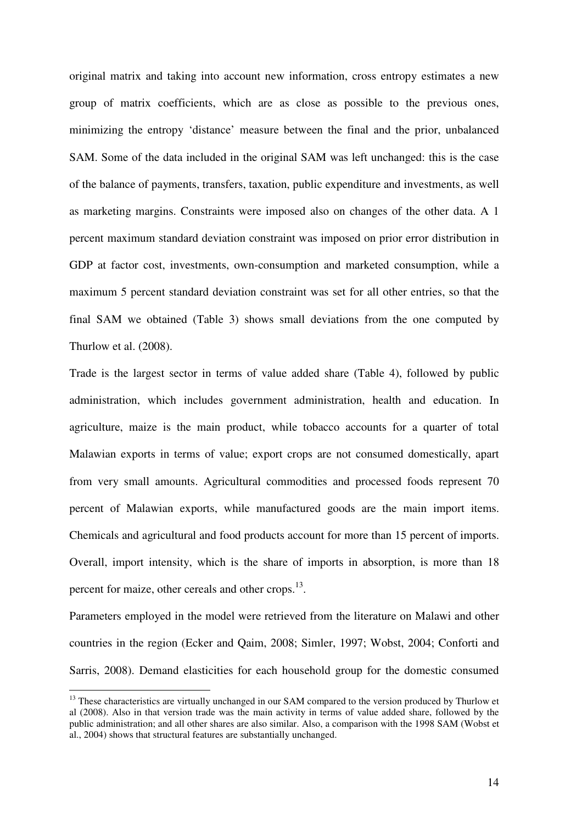original matrix and taking into account new information, cross entropy estimates a new group of matrix coefficients, which are as close as possible to the previous ones, minimizing the entropy 'distance' measure between the final and the prior, unbalanced SAM. Some of the data included in the original SAM was left unchanged: this is the case of the balance of payments, transfers, taxation, public expenditure and investments, as well as marketing margins. Constraints were imposed also on changes of the other data. A 1 percent maximum standard deviation constraint was imposed on prior error distribution in GDP at factor cost, investments, own-consumption and marketed consumption, while a maximum 5 percent standard deviation constraint was set for all other entries, so that the final SAM we obtained (Table 3) shows small deviations from the one computed by Thurlow et al. (2008).

Trade is the largest sector in terms of value added share (Table 4), followed by public administration, which includes government administration, health and education. In agriculture, maize is the main product, while tobacco accounts for a quarter of total Malawian exports in terms of value; export crops are not consumed domestically, apart from very small amounts. Agricultural commodities and processed foods represent 70 percent of Malawian exports, while manufactured goods are the main import items. Chemicals and agricultural and food products account for more than 15 percent of imports. Overall, import intensity, which is the share of imports in absorption, is more than 18 percent for maize, other cereals and other crops.<sup>13</sup>.

Parameters employed in the model were retrieved from the literature on Malawi and other countries in the region (Ecker and Qaim, 2008; Simler, 1997; Wobst, 2004; Conforti and Sarris, 2008). Demand elasticities for each household group for the domestic consumed

<sup>&</sup>lt;sup>13</sup> These characteristics are virtually unchanged in our SAM compared to the version produced by Thurlow et al (2008). Also in that version trade was the main activity in terms of value added share, followed by the public administration; and all other shares are also similar. Also, a comparison with the 1998 SAM (Wobst et al., 2004) shows that structural features are substantially unchanged.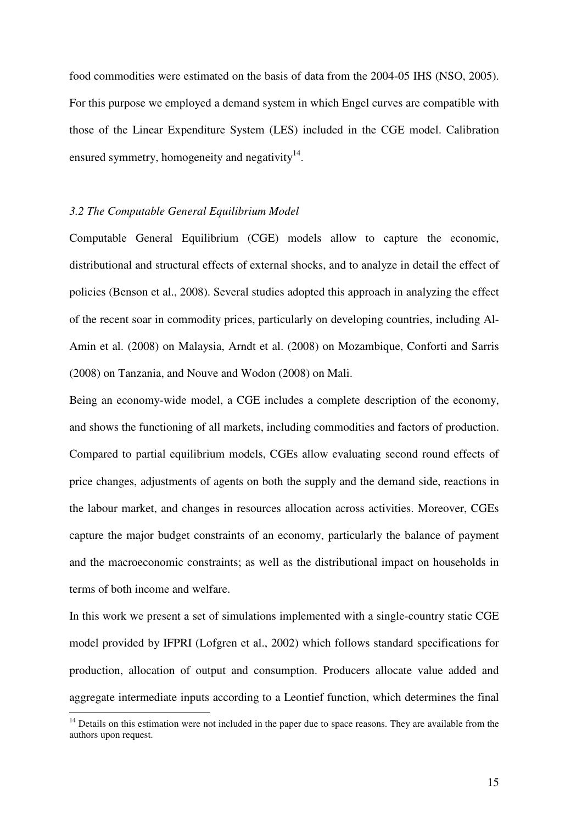food commodities were estimated on the basis of data from the 2004-05 IHS (NSO, 2005). For this purpose we employed a demand system in which Engel curves are compatible with those of the Linear Expenditure System (LES) included in the CGE model. Calibration ensured symmetry, homogeneity and negativity $14$ .

#### *3.2 The Computable General Equilibrium Model*

 $\overline{a}$ 

Computable General Equilibrium (CGE) models allow to capture the economic, distributional and structural effects of external shocks, and to analyze in detail the effect of policies (Benson et al., 2008). Several studies adopted this approach in analyzing the effect of the recent soar in commodity prices, particularly on developing countries, including Al-Amin et al. (2008) on Malaysia, Arndt et al. (2008) on Mozambique, Conforti and Sarris (2008) on Tanzania, and Nouve and Wodon (2008) on Mali.

Being an economy-wide model, a CGE includes a complete description of the economy, and shows the functioning of all markets, including commodities and factors of production. Compared to partial equilibrium models, CGEs allow evaluating second round effects of price changes, adjustments of agents on both the supply and the demand side, reactions in the labour market, and changes in resources allocation across activities. Moreover, CGEs capture the major budget constraints of an economy, particularly the balance of payment and the macroeconomic constraints; as well as the distributional impact on households in terms of both income and welfare.

In this work we present a set of simulations implemented with a single-country static CGE model provided by IFPRI (Lofgren et al., 2002) which follows standard specifications for production, allocation of output and consumption. Producers allocate value added and aggregate intermediate inputs according to a Leontief function, which determines the final

<sup>&</sup>lt;sup>14</sup> Details on this estimation were not included in the paper due to space reasons. They are available from the authors upon request.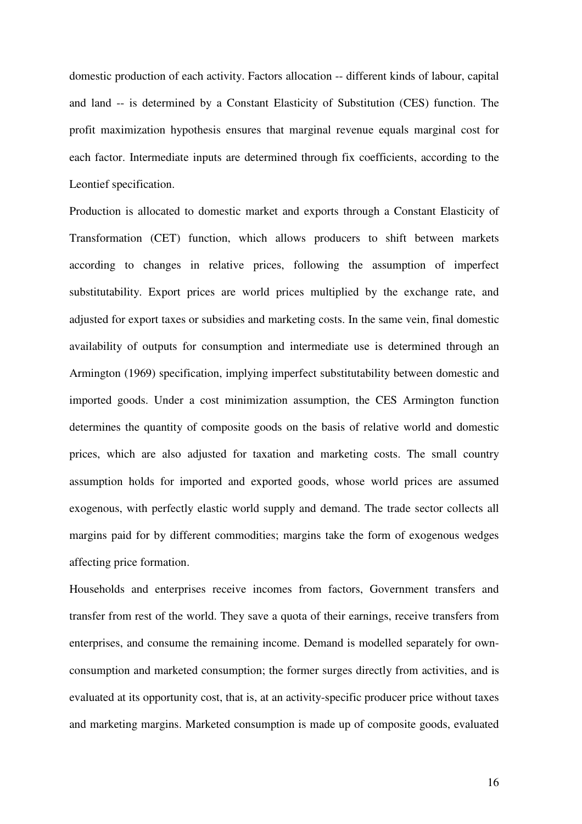domestic production of each activity. Factors allocation -- different kinds of labour, capital and land -- is determined by a Constant Elasticity of Substitution (CES) function. The profit maximization hypothesis ensures that marginal revenue equals marginal cost for each factor. Intermediate inputs are determined through fix coefficients, according to the Leontief specification.

Production is allocated to domestic market and exports through a Constant Elasticity of Transformation (CET) function, which allows producers to shift between markets according to changes in relative prices, following the assumption of imperfect substitutability. Export prices are world prices multiplied by the exchange rate, and adjusted for export taxes or subsidies and marketing costs. In the same vein, final domestic availability of outputs for consumption and intermediate use is determined through an Armington (1969) specification, implying imperfect substitutability between domestic and imported goods. Under a cost minimization assumption, the CES Armington function determines the quantity of composite goods on the basis of relative world and domestic prices, which are also adjusted for taxation and marketing costs. The small country assumption holds for imported and exported goods, whose world prices are assumed exogenous, with perfectly elastic world supply and demand. The trade sector collects all margins paid for by different commodities; margins take the form of exogenous wedges affecting price formation.

Households and enterprises receive incomes from factors, Government transfers and transfer from rest of the world. They save a quota of their earnings, receive transfers from enterprises, and consume the remaining income. Demand is modelled separately for ownconsumption and marketed consumption; the former surges directly from activities, and is evaluated at its opportunity cost, that is, at an activity-specific producer price without taxes and marketing margins. Marketed consumption is made up of composite goods, evaluated

16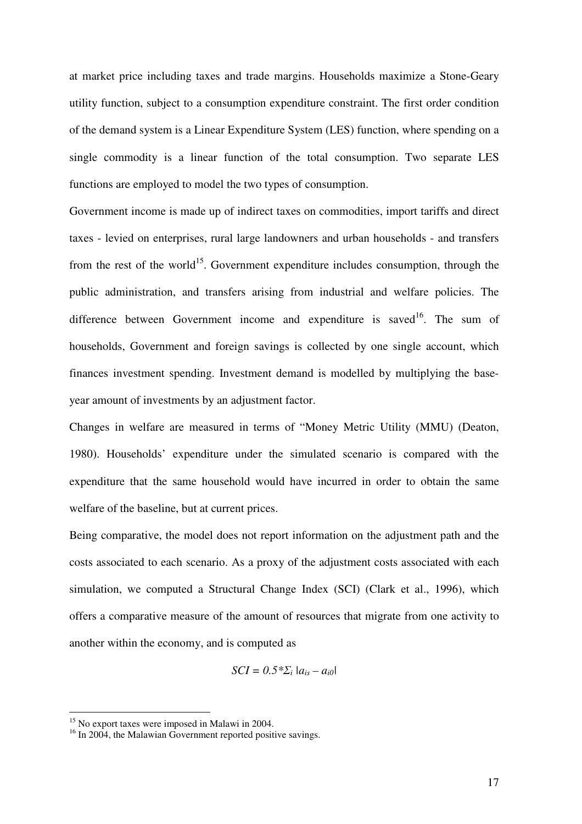at market price including taxes and trade margins. Households maximize a Stone-Geary utility function, subject to a consumption expenditure constraint. The first order condition of the demand system is a Linear Expenditure System (LES) function, where spending on a single commodity is a linear function of the total consumption. Two separate LES functions are employed to model the two types of consumption.

Government income is made up of indirect taxes on commodities, import tariffs and direct taxes - levied on enterprises, rural large landowners and urban households - and transfers from the rest of the world<sup>15</sup>. Government expenditure includes consumption, through the public administration, and transfers arising from industrial and welfare policies. The difference between Government income and expenditure is saved<sup>16</sup>. The sum of households, Government and foreign savings is collected by one single account, which finances investment spending. Investment demand is modelled by multiplying the baseyear amount of investments by an adjustment factor.

Changes in welfare are measured in terms of "Money Metric Utility (MMU) (Deaton, 1980). Households' expenditure under the simulated scenario is compared with the expenditure that the same household would have incurred in order to obtain the same welfare of the baseline, but at current prices.

Being comparative, the model does not report information on the adjustment path and the costs associated to each scenario. As a proxy of the adjustment costs associated with each simulation, we computed a Structural Change Index (SCI) (Clark et al., 1996), which offers a comparative measure of the amount of resources that migrate from one activity to another within the economy, and is computed as

$$
SCI = 0.5 \times \sum_i |a_{is} - a_{i0}|
$$

<sup>15</sup> No export taxes were imposed in Malawi in 2004.

<sup>&</sup>lt;sup>16</sup> In 2004, the Malawian Government reported positive savings.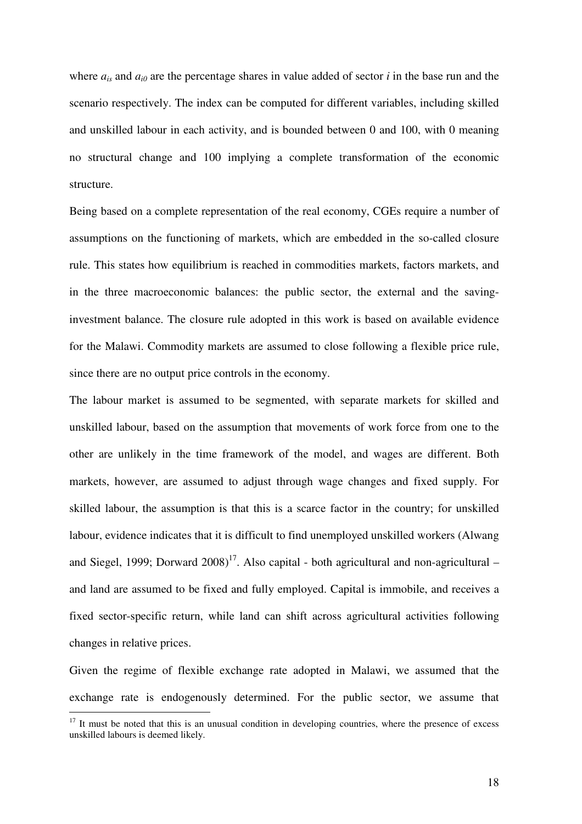where  $a_{is}$  and  $a_{i0}$  are the percentage shares in value added of sector *i* in the base run and the scenario respectively. The index can be computed for different variables, including skilled and unskilled labour in each activity, and is bounded between 0 and 100, with 0 meaning no structural change and 100 implying a complete transformation of the economic structure.

Being based on a complete representation of the real economy, CGEs require a number of assumptions on the functioning of markets, which are embedded in the so-called closure rule. This states how equilibrium is reached in commodities markets, factors markets, and in the three macroeconomic balances: the public sector, the external and the savinginvestment balance. The closure rule adopted in this work is based on available evidence for the Malawi. Commodity markets are assumed to close following a flexible price rule, since there are no output price controls in the economy.

The labour market is assumed to be segmented, with separate markets for skilled and unskilled labour, based on the assumption that movements of work force from one to the other are unlikely in the time framework of the model, and wages are different. Both markets, however, are assumed to adjust through wage changes and fixed supply. For skilled labour, the assumption is that this is a scarce factor in the country; for unskilled labour, evidence indicates that it is difficult to find unemployed unskilled workers (Alwang and Siegel, 1999; Dorward  $2008$ <sup>17</sup>. Also capital - both agricultural and non-agricultural – and land are assumed to be fixed and fully employed. Capital is immobile, and receives a fixed sector-specific return, while land can shift across agricultural activities following changes in relative prices.

Given the regime of flexible exchange rate adopted in Malawi, we assumed that the exchange rate is endogenously determined. For the public sector, we assume that

 $17$  It must be noted that this is an unusual condition in developing countries, where the presence of excess unskilled labours is deemed likely.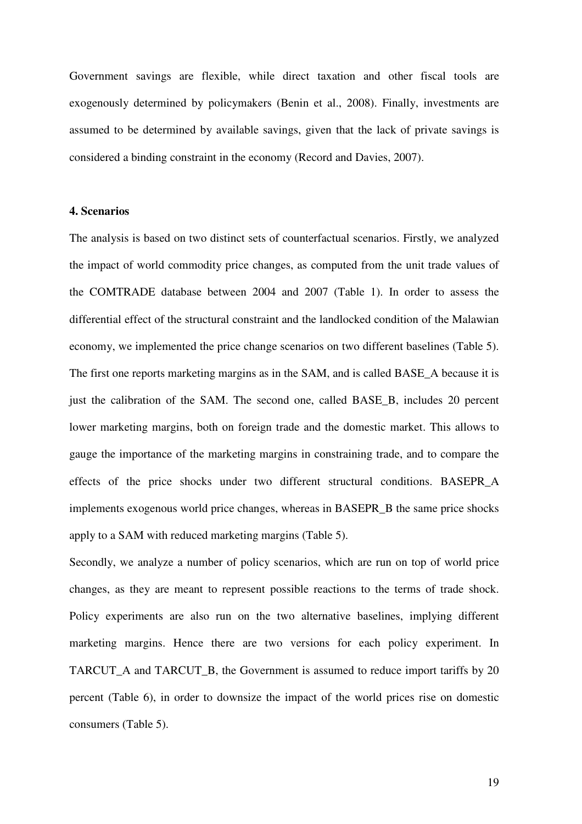Government savings are flexible, while direct taxation and other fiscal tools are exogenously determined by policymakers (Benin et al., 2008). Finally, investments are assumed to be determined by available savings, given that the lack of private savings is considered a binding constraint in the economy (Record and Davies, 2007).

#### **4. Scenarios**

The analysis is based on two distinct sets of counterfactual scenarios. Firstly, we analyzed the impact of world commodity price changes, as computed from the unit trade values of the COMTRADE database between 2004 and 2007 (Table 1). In order to assess the differential effect of the structural constraint and the landlocked condition of the Malawian economy, we implemented the price change scenarios on two different baselines (Table 5). The first one reports marketing margins as in the SAM, and is called BASE. A because it is just the calibration of the SAM. The second one, called BASE\_B, includes 20 percent lower marketing margins, both on foreign trade and the domestic market. This allows to gauge the importance of the marketing margins in constraining trade, and to compare the effects of the price shocks under two different structural conditions. BASEPR\_A implements exogenous world price changes, whereas in BASEPR\_B the same price shocks apply to a SAM with reduced marketing margins (Table 5).

Secondly, we analyze a number of policy scenarios, which are run on top of world price changes, as they are meant to represent possible reactions to the terms of trade shock. Policy experiments are also run on the two alternative baselines, implying different marketing margins. Hence there are two versions for each policy experiment. In TARCUT A and TARCUT B, the Government is assumed to reduce import tariffs by 20 percent (Table 6), in order to downsize the impact of the world prices rise on domestic consumers (Table 5).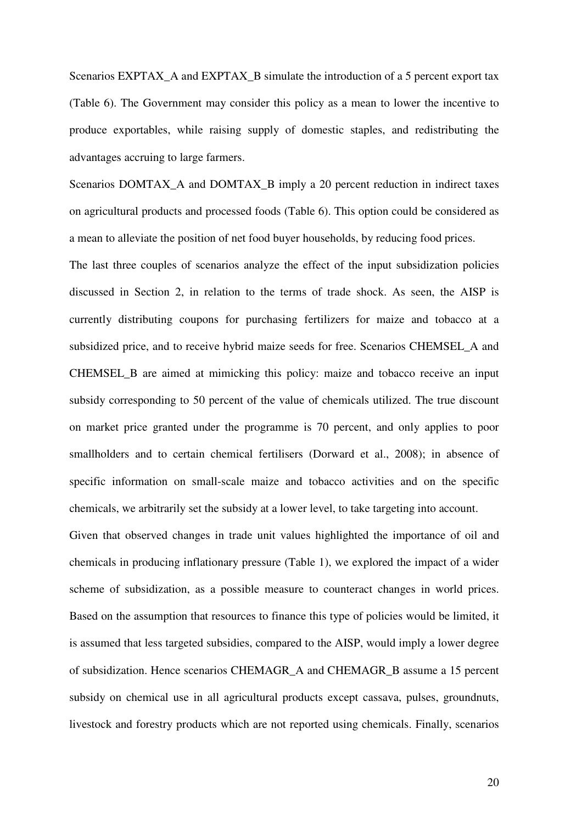Scenarios EXPTAX\_A and EXPTAX\_B simulate the introduction of a 5 percent export tax (Table 6). The Government may consider this policy as a mean to lower the incentive to produce exportables, while raising supply of domestic staples, and redistributing the advantages accruing to large farmers.

Scenarios DOMTAX\_A and DOMTAX\_B imply a 20 percent reduction in indirect taxes on agricultural products and processed foods (Table 6). This option could be considered as a mean to alleviate the position of net food buyer households, by reducing food prices.

The last three couples of scenarios analyze the effect of the input subsidization policies discussed in Section 2, in relation to the terms of trade shock. As seen, the AISP is currently distributing coupons for purchasing fertilizers for maize and tobacco at a subsidized price, and to receive hybrid maize seeds for free. Scenarios CHEMSEL\_A and CHEMSEL\_B are aimed at mimicking this policy: maize and tobacco receive an input subsidy corresponding to 50 percent of the value of chemicals utilized. The true discount on market price granted under the programme is 70 percent, and only applies to poor smallholders and to certain chemical fertilisers (Dorward et al., 2008); in absence of specific information on small-scale maize and tobacco activities and on the specific chemicals, we arbitrarily set the subsidy at a lower level, to take targeting into account.

Given that observed changes in trade unit values highlighted the importance of oil and chemicals in producing inflationary pressure (Table 1), we explored the impact of a wider scheme of subsidization, as a possible measure to counteract changes in world prices. Based on the assumption that resources to finance this type of policies would be limited, it is assumed that less targeted subsidies, compared to the AISP, would imply a lower degree of subsidization. Hence scenarios CHEMAGR\_A and CHEMAGR\_B assume a 15 percent subsidy on chemical use in all agricultural products except cassava, pulses, groundnuts, livestock and forestry products which are not reported using chemicals. Finally, scenarios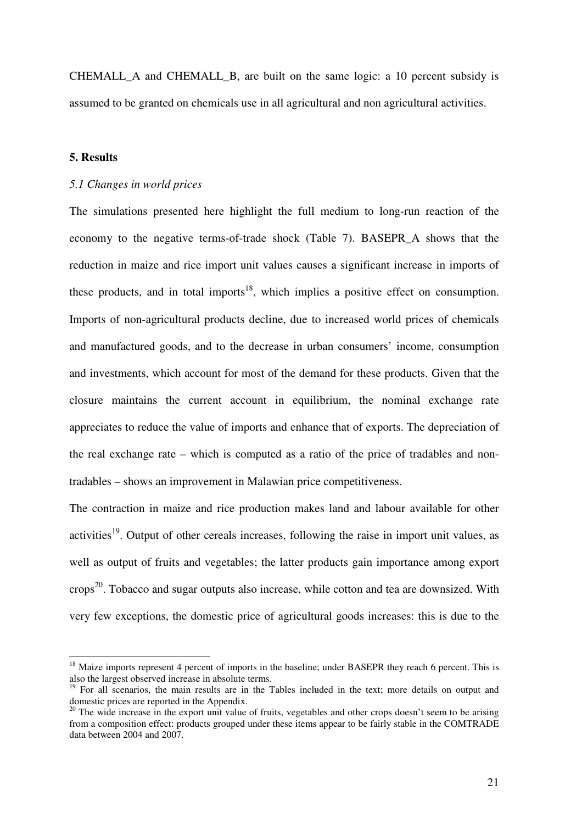CHEMALL\_A and CHEMALL\_B, are built on the same logic: a 10 percent subsidy is assumed to be granted on chemicals use in all agricultural and non agricultural activities.

## **5. Results**

 $\overline{a}$ 

## *5.1 Changes in world prices*

The simulations presented here highlight the full medium to long-run reaction of the economy to the negative terms-of-trade shock (Table 7). BASEPR\_A shows that the reduction in maize and rice import unit values causes a significant increase in imports of these products, and in total imports<sup>18</sup>, which implies a positive effect on consumption. Imports of non-agricultural products decline, due to increased world prices of chemicals and manufactured goods, and to the decrease in urban consumers' income, consumption and investments, which account for most of the demand for these products. Given that the closure maintains the current account in equilibrium, the nominal exchange rate appreciates to reduce the value of imports and enhance that of exports. The depreciation of the real exchange rate – which is computed as a ratio of the price of tradables and nontradables – shows an improvement in Malawian price competitiveness.

The contraction in maize and rice production makes land and labour available for other activities<sup>19</sup>. Output of other cereals increases, following the raise in import unit values, as well as output of fruits and vegetables; the latter products gain importance among export crops <sup>20</sup>. Tobacco and sugar outputs also increase, while cotton and tea are downsized. With very few exceptions, the domestic price of agricultural goods increases: this is due to the

<sup>&</sup>lt;sup>18</sup> Maize imports represent 4 percent of imports in the baseline; under BASEPR they reach 6 percent. This is also the largest observed increase in absolute terms.

<sup>&</sup>lt;sup>19</sup> For all scenarios, the main results are in the Tables included in the text; more details on output and domestic prices are reported in the Appendix.

<sup>&</sup>lt;sup>20</sup> The wide increase in the export unit value of fruits, vegetables and other crops doesn't seem to be arising from a composition effect: products grouped under these items appear to be fairly stable in the COMTRADE data between 2004 and 2007.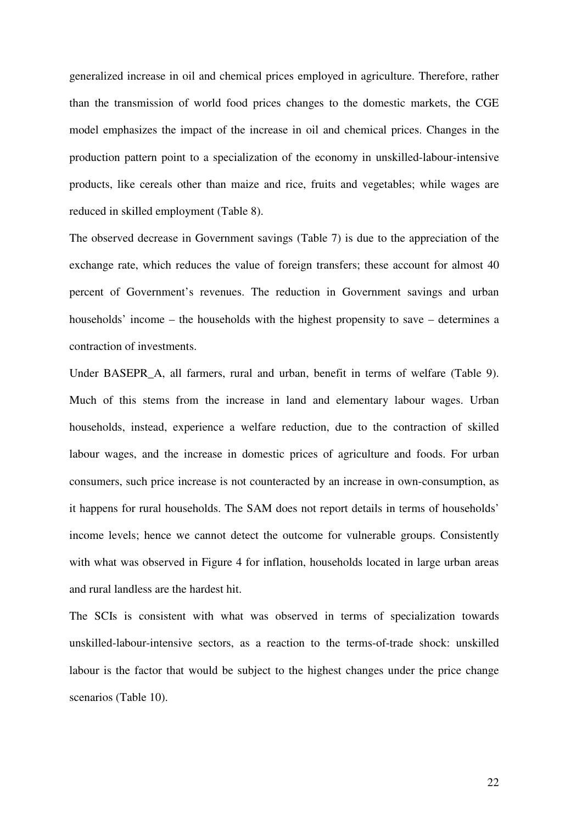generalized increase in oil and chemical prices employed in agriculture. Therefore, rather than the transmission of world food prices changes to the domestic markets, the CGE model emphasizes the impact of the increase in oil and chemical prices. Changes in the production pattern point to a specialization of the economy in unskilled-labour-intensive products, like cereals other than maize and rice, fruits and vegetables; while wages are reduced in skilled employment (Table 8).

The observed decrease in Government savings (Table 7) is due to the appreciation of the exchange rate, which reduces the value of foreign transfers; these account for almost 40 percent of Government's revenues. The reduction in Government savings and urban households' income – the households with the highest propensity to save – determines a contraction of investments.

Under BASEPR\_A, all farmers, rural and urban, benefit in terms of welfare (Table 9). Much of this stems from the increase in land and elementary labour wages. Urban households, instead, experience a welfare reduction, due to the contraction of skilled labour wages, and the increase in domestic prices of agriculture and foods. For urban consumers, such price increase is not counteracted by an increase in own-consumption, as it happens for rural households. The SAM does not report details in terms of households' income levels; hence we cannot detect the outcome for vulnerable groups. Consistently with what was observed in Figure 4 for inflation, households located in large urban areas and rural landless are the hardest hit.

The SCIs is consistent with what was observed in terms of specialization towards unskilled-labour-intensive sectors, as a reaction to the terms-of-trade shock: unskilled labour is the factor that would be subject to the highest changes under the price change scenarios (Table 10).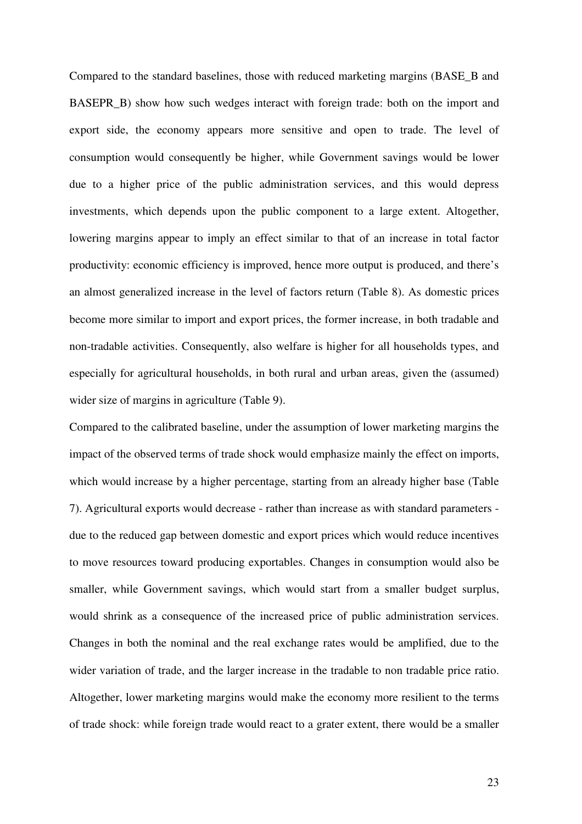Compared to the standard baselines, those with reduced marketing margins (BASE\_B and BASEPR B) show how such wedges interact with foreign trade: both on the import and export side, the economy appears more sensitive and open to trade. The level of consumption would consequently be higher, while Government savings would be lower due to a higher price of the public administration services, and this would depress investments, which depends upon the public component to a large extent. Altogether, lowering margins appear to imply an effect similar to that of an increase in total factor productivity: economic efficiency is improved, hence more output is produced, and there's an almost generalized increase in the level of factors return (Table 8). As domestic prices become more similar to import and export prices, the former increase, in both tradable and non-tradable activities. Consequently, also welfare is higher for all households types, and especially for agricultural households, in both rural and urban areas, given the (assumed) wider size of margins in agriculture (Table 9).

Compared to the calibrated baseline, under the assumption of lower marketing margins the impact of the observed terms of trade shock would emphasize mainly the effect on imports, which would increase by a higher percentage, starting from an already higher base (Table 7). Agricultural exports would decrease - rather than increase as with standard parameters due to the reduced gap between domestic and export prices which would reduce incentives to move resources toward producing exportables. Changes in consumption would also be smaller, while Government savings, which would start from a smaller budget surplus, would shrink as a consequence of the increased price of public administration services. Changes in both the nominal and the real exchange rates would be amplified, due to the wider variation of trade, and the larger increase in the tradable to non tradable price ratio. Altogether, lower marketing margins would make the economy more resilient to the terms of trade shock: while foreign trade would react to a grater extent, there would be a smaller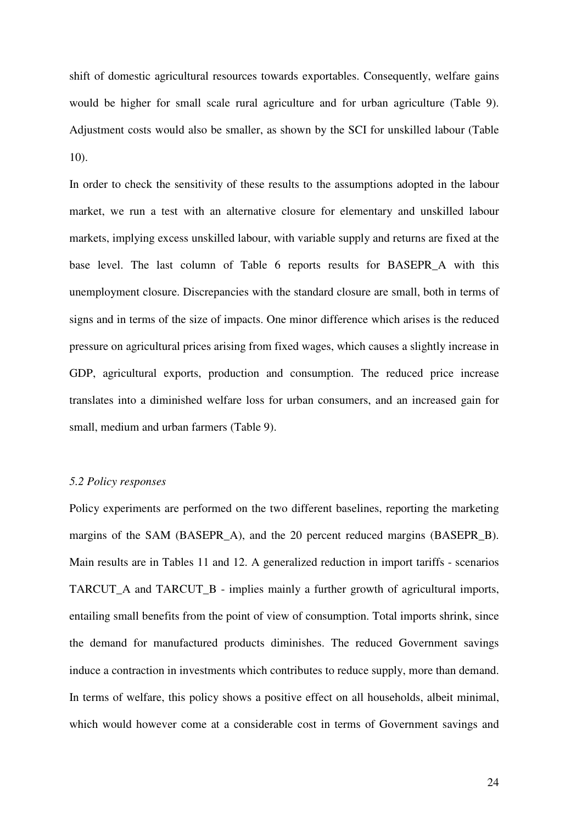shift of domestic agricultural resources towards exportables. Consequently, welfare gains would be higher for small scale rural agriculture and for urban agriculture (Table 9). Adjustment costs would also be smaller, as shown by the SCI for unskilled labour (Table 10).

In order to check the sensitivity of these results to the assumptions adopted in the labour market, we run a test with an alternative closure for elementary and unskilled labour markets, implying excess unskilled labour, with variable supply and returns are fixed at the base level. The last column of Table 6 reports results for BASEPR\_A with this unemployment closure. Discrepancies with the standard closure are small, both in terms of signs and in terms of the size of impacts. One minor difference which arises is the reduced pressure on agricultural prices arising from fixed wages, which causes a slightly increase in GDP, agricultural exports, production and consumption. The reduced price increase translates into a diminished welfare loss for urban consumers, and an increased gain for small, medium and urban farmers (Table 9).

### *5.2 Policy responses*

Policy experiments are performed on the two different baselines, reporting the marketing margins of the SAM (BASEPR A), and the 20 percent reduced margins (BASEPR B). Main results are in Tables 11 and 12. A generalized reduction in import tariffs - scenarios TARCUT\_A and TARCUT\_B - implies mainly a further growth of agricultural imports, entailing small benefits from the point of view of consumption. Total imports shrink, since the demand for manufactured products diminishes. The reduced Government savings induce a contraction in investments which contributes to reduce supply, more than demand. In terms of welfare, this policy shows a positive effect on all households, albeit minimal, which would however come at a considerable cost in terms of Government savings and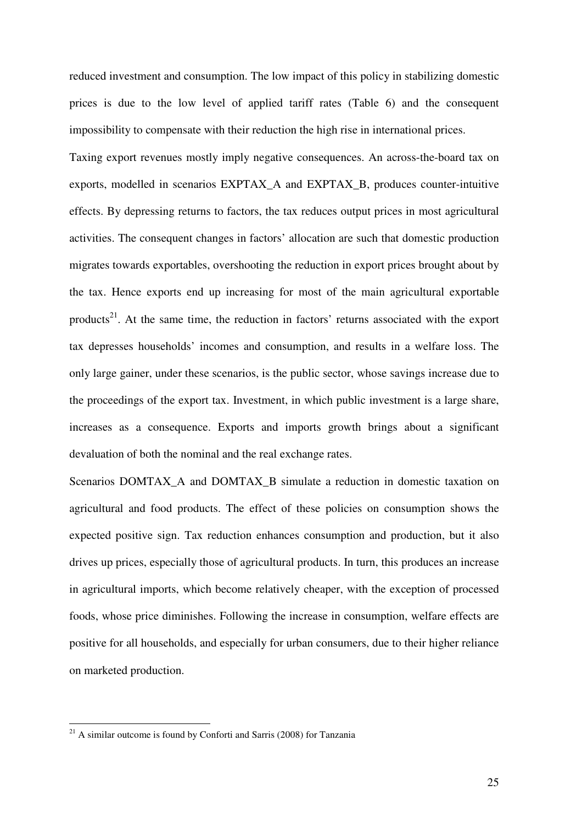reduced investment and consumption. The low impact of this policy in stabilizing domestic prices is due to the low level of applied tariff rates (Table 6) and the consequent impossibility to compensate with their reduction the high rise in international prices.

Taxing export revenues mostly imply negative consequences. An across-the-board tax on exports, modelled in scenarios EXPTAX\_A and EXPTAX\_B, produces counter-intuitive effects. By depressing returns to factors, the tax reduces output prices in most agricultural activities. The consequent changes in factors' allocation are such that domestic production migrates towards exportables, overshooting the reduction in export prices brought about by the tax. Hence exports end up increasing for most of the main agricultural exportable products<sup>21</sup>. At the same time, the reduction in factors' returns associated with the export tax depresses households' incomes and consumption, and results in a welfare loss. The only large gainer, under these scenarios, is the public sector, whose savings increase due to the proceedings of the export tax. Investment, in which public investment is a large share, increases as a consequence. Exports and imports growth brings about a significant devaluation of both the nominal and the real exchange rates.

Scenarios DOMTAX\_A and DOMTAX\_B simulate a reduction in domestic taxation on agricultural and food products. The effect of these policies on consumption shows the expected positive sign. Tax reduction enhances consumption and production, but it also drives up prices, especially those of agricultural products. In turn, this produces an increase in agricultural imports, which become relatively cheaper, with the exception of processed foods, whose price diminishes. Following the increase in consumption, welfare effects are positive for all households, and especially for urban consumers, due to their higher reliance on marketed production.

 $21$  A similar outcome is found by Conforti and Sarris (2008) for Tanzania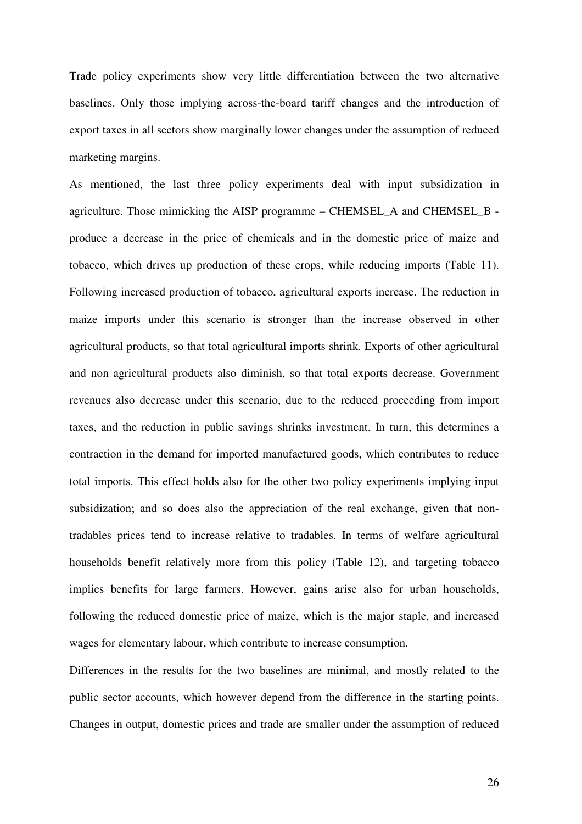Trade policy experiments show very little differentiation between the two alternative baselines. Only those implying across-the-board tariff changes and the introduction of export taxes in all sectors show marginally lower changes under the assumption of reduced marketing margins.

As mentioned, the last three policy experiments deal with input subsidization in agriculture. Those mimicking the AISP programme – CHEMSEL\_A and CHEMSEL\_B produce a decrease in the price of chemicals and in the domestic price of maize and tobacco, which drives up production of these crops, while reducing imports (Table 11). Following increased production of tobacco, agricultural exports increase. The reduction in maize imports under this scenario is stronger than the increase observed in other agricultural products, so that total agricultural imports shrink. Exports of other agricultural and non agricultural products also diminish, so that total exports decrease. Government revenues also decrease under this scenario, due to the reduced proceeding from import taxes, and the reduction in public savings shrinks investment. In turn, this determines a contraction in the demand for imported manufactured goods, which contributes to reduce total imports. This effect holds also for the other two policy experiments implying input subsidization; and so does also the appreciation of the real exchange, given that nontradables prices tend to increase relative to tradables. In terms of welfare agricultural households benefit relatively more from this policy (Table 12), and targeting tobacco implies benefits for large farmers. However, gains arise also for urban households, following the reduced domestic price of maize, which is the major staple, and increased wages for elementary labour, which contribute to increase consumption.

Differences in the results for the two baselines are minimal, and mostly related to the public sector accounts, which however depend from the difference in the starting points. Changes in output, domestic prices and trade are smaller under the assumption of reduced

26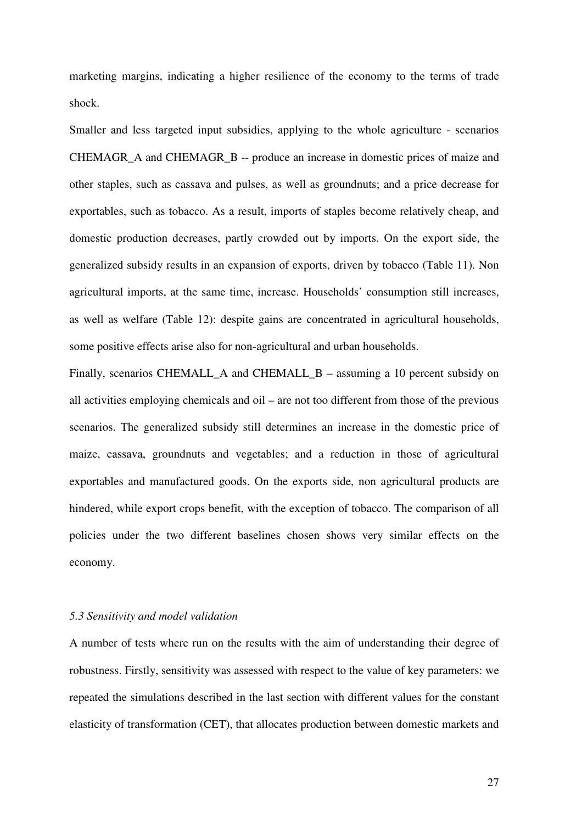marketing margins, indicating a higher resilience of the economy to the terms of trade shock.

Smaller and less targeted input subsidies, applying to the whole agriculture - scenarios CHEMAGR\_A and CHEMAGR\_B -- produce an increase in domestic prices of maize and other staples, such as cassava and pulses, as well as groundnuts; and a price decrease for exportables, such as tobacco. As a result, imports of staples become relatively cheap, and domestic production decreases, partly crowded out by imports. On the export side, the generalized subsidy results in an expansion of exports, driven by tobacco (Table 11). Non agricultural imports, at the same time, increase. Households' consumption still increases, as well as welfare (Table 12): despite gains are concentrated in agricultural households, some positive effects arise also for non-agricultural and urban households.

Finally, scenarios CHEMALL\_A and CHEMALL\_B – assuming a 10 percent subsidy on all activities employing chemicals and oil – are not too different from those of the previous scenarios. The generalized subsidy still determines an increase in the domestic price of maize, cassava, groundnuts and vegetables; and a reduction in those of agricultural exportables and manufactured goods. On the exports side, non agricultural products are hindered, while export crops benefit, with the exception of tobacco. The comparison of all policies under the two different baselines chosen shows very similar effects on the economy.

## *5.3 Sensitivity and model validation*

A number of tests where run on the results with the aim of understanding their degree of robustness. Firstly, sensitivity was assessed with respect to the value of key parameters: we repeated the simulations described in the last section with different values for the constant elasticity of transformation (CET), that allocates production between domestic markets and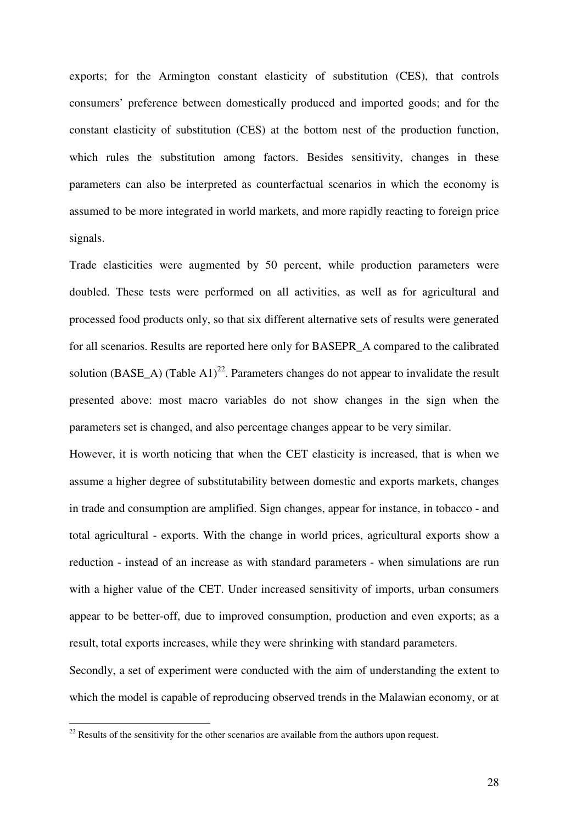exports; for the Armington constant elasticity of substitution (CES), that controls consumers' preference between domestically produced and imported goods; and for the constant elasticity of substitution (CES) at the bottom nest of the production function, which rules the substitution among factors. Besides sensitivity, changes in these parameters can also be interpreted as counterfactual scenarios in which the economy is assumed to be more integrated in world markets, and more rapidly reacting to foreign price signals.

Trade elasticities were augmented by 50 percent, while production parameters were doubled. These tests were performed on all activities, as well as for agricultural and processed food products only, so that six different alternative sets of results were generated for all scenarios. Results are reported here only for BASEPR\_A compared to the calibrated solution (BASE A) (Table A1)<sup>22</sup>. Parameters changes do not appear to invalidate the result presented above: most macro variables do not show changes in the sign when the parameters set is changed, and also percentage changes appear to be very similar.

However, it is worth noticing that when the CET elasticity is increased, that is when we assume a higher degree of substitutability between domestic and exports markets, changes in trade and consumption are amplified. Sign changes, appear for instance, in tobacco - and total agricultural - exports. With the change in world prices, agricultural exports show a reduction - instead of an increase as with standard parameters - when simulations are run with a higher value of the CET. Under increased sensitivity of imports, urban consumers appear to be better-off, due to improved consumption, production and even exports; as a result, total exports increases, while they were shrinking with standard parameters.

Secondly, a set of experiment were conducted with the aim of understanding the extent to which the model is capable of reproducing observed trends in the Malawian economy, or at

 $22$  Results of the sensitivity for the other scenarios are available from the authors upon request.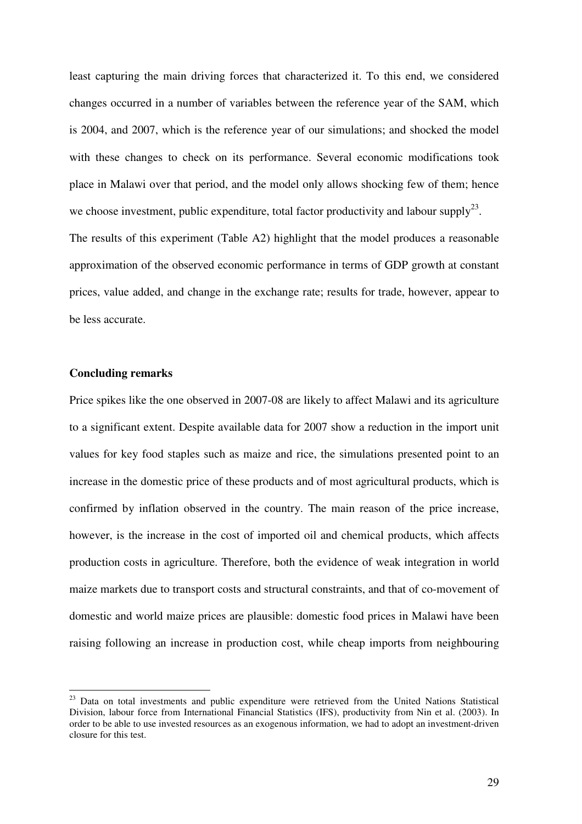least capturing the main driving forces that characterized it. To this end, we considered changes occurred in a number of variables between the reference year of the SAM, which is 2004, and 2007, which is the reference year of our simulations; and shocked the model with these changes to check on its performance. Several economic modifications took place in Malawi over that period, and the model only allows shocking few of them; hence we choose investment, public expenditure, total factor productivity and labour supply<sup>23</sup>. The results of this experiment (Table A2) highlight that the model produces a reasonable approximation of the observed economic performance in terms of GDP growth at constant prices, value added, and change in the exchange rate; results for trade, however, appear to be less accurate.

### **Concluding remarks**

 $\overline{a}$ 

Price spikes like the one observed in 2007-08 are likely to affect Malawi and its agriculture to a significant extent. Despite available data for 2007 show a reduction in the import unit values for key food staples such as maize and rice, the simulations presented point to an increase in the domestic price of these products and of most agricultural products, which is confirmed by inflation observed in the country. The main reason of the price increase, however, is the increase in the cost of imported oil and chemical products, which affects production costs in agriculture. Therefore, both the evidence of weak integration in world maize markets due to transport costs and structural constraints, and that of co-movement of domestic and world maize prices are plausible: domestic food prices in Malawi have been raising following an increase in production cost, while cheap imports from neighbouring

<sup>&</sup>lt;sup>23</sup> Data on total investments and public expenditure were retrieved from the United Nations Statistical Division, labour force from International Financial Statistics (IFS), productivity from Nin et al. (2003). In order to be able to use invested resources as an exogenous information, we had to adopt an investment-driven closure for this test.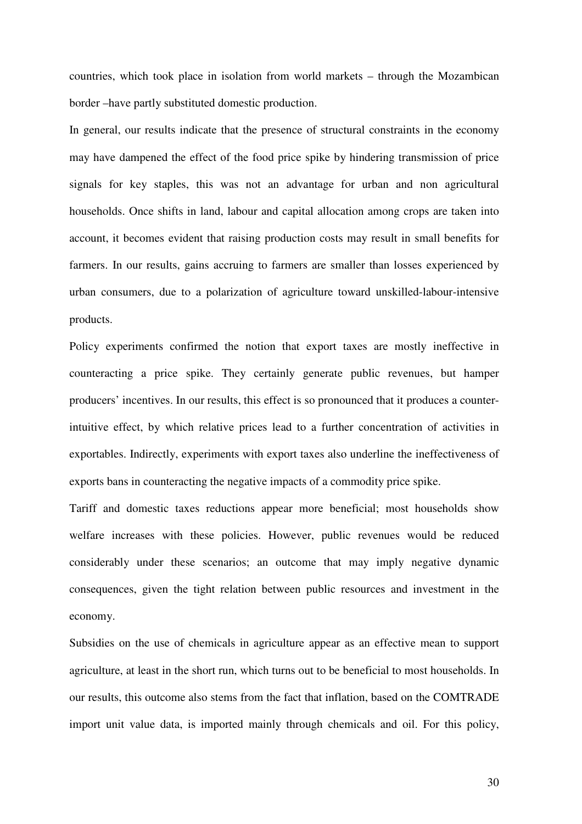countries, which took place in isolation from world markets – through the Mozambican border –have partly substituted domestic production.

In general, our results indicate that the presence of structural constraints in the economy may have dampened the effect of the food price spike by hindering transmission of price signals for key staples, this was not an advantage for urban and non agricultural households. Once shifts in land, labour and capital allocation among crops are taken into account, it becomes evident that raising production costs may result in small benefits for farmers. In our results, gains accruing to farmers are smaller than losses experienced by urban consumers, due to a polarization of agriculture toward unskilled-labour-intensive products.

Policy experiments confirmed the notion that export taxes are mostly ineffective in counteracting a price spike. They certainly generate public revenues, but hamper producers' incentives. In our results, this effect is so pronounced that it produces a counterintuitive effect, by which relative prices lead to a further concentration of activities in exportables. Indirectly, experiments with export taxes also underline the ineffectiveness of exports bans in counteracting the negative impacts of a commodity price spike.

Tariff and domestic taxes reductions appear more beneficial; most households show welfare increases with these policies. However, public revenues would be reduced considerably under these scenarios; an outcome that may imply negative dynamic consequences, given the tight relation between public resources and investment in the economy.

Subsidies on the use of chemicals in agriculture appear as an effective mean to support agriculture, at least in the short run, which turns out to be beneficial to most households. In our results, this outcome also stems from the fact that inflation, based on the COMTRADE import unit value data, is imported mainly through chemicals and oil. For this policy,

30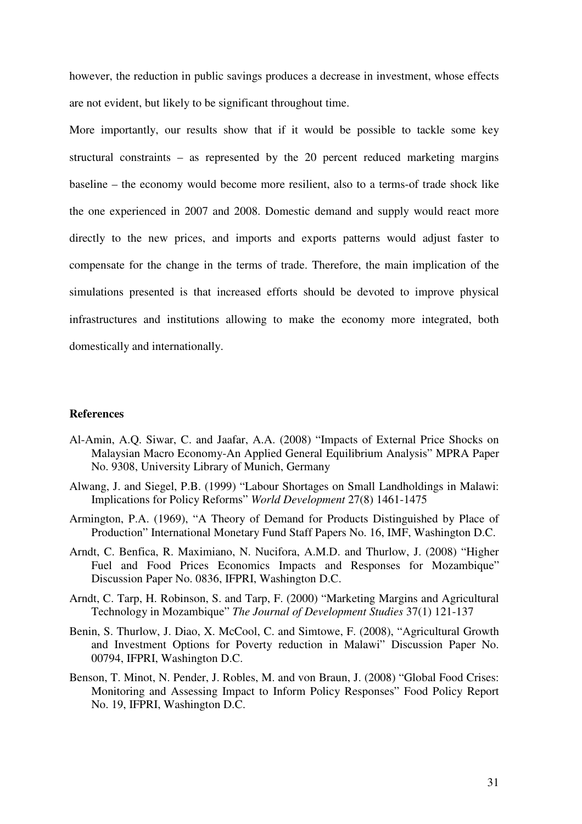however, the reduction in public savings produces a decrease in investment, whose effects are not evident, but likely to be significant throughout time.

More importantly, our results show that if it would be possible to tackle some key structural constraints – as represented by the 20 percent reduced marketing margins baseline – the economy would become more resilient, also to a terms-of trade shock like the one experienced in 2007 and 2008. Domestic demand and supply would react more directly to the new prices, and imports and exports patterns would adjust faster to compensate for the change in the terms of trade. Therefore, the main implication of the simulations presented is that increased efforts should be devoted to improve physical infrastructures and institutions allowing to make the economy more integrated, both domestically and internationally.

## **References**

- Al-Amin, A.Q. Siwar, C. and Jaafar, A.A. (2008) "Impacts of External Price Shocks on Malaysian Macro Economy-An Applied General Equilibrium Analysis" MPRA Paper No. 9308, University Library of Munich, Germany
- Alwang, J. and Siegel, P.B. (1999) "Labour Shortages on Small Landholdings in Malawi: Implications for Policy Reforms" *World Development* 27(8) 1461-1475
- Armington, P.A. (1969), "A Theory of Demand for Products Distinguished by Place of Production" International Monetary Fund Staff Papers No. 16, IMF, Washington D.C.
- Arndt, C. Benfica, R. Maximiano, N. Nucifora, A.M.D. and Thurlow, J. (2008) "Higher Fuel and Food Prices Economics Impacts and Responses for Mozambique" Discussion Paper No. 0836, IFPRI, Washington D.C.
- Arndt, C. Tarp, H. Robinson, S. and Tarp, F. (2000) "Marketing Margins and Agricultural Technology in Mozambique" *The Journal of Development Studies* 37(1) 121-137
- Benin, S. Thurlow, J. Diao, X. McCool, C. and Simtowe, F. (2008), "Agricultural Growth and Investment Options for Poverty reduction in Malawi" Discussion Paper No. 00794, IFPRI, Washington D.C.
- Benson, T. Minot, N. Pender, J. Robles, M. and von Braun, J. (2008) "Global Food Crises: Monitoring and Assessing Impact to Inform Policy Responses" Food Policy Report No. 19, IFPRI, Washington D.C.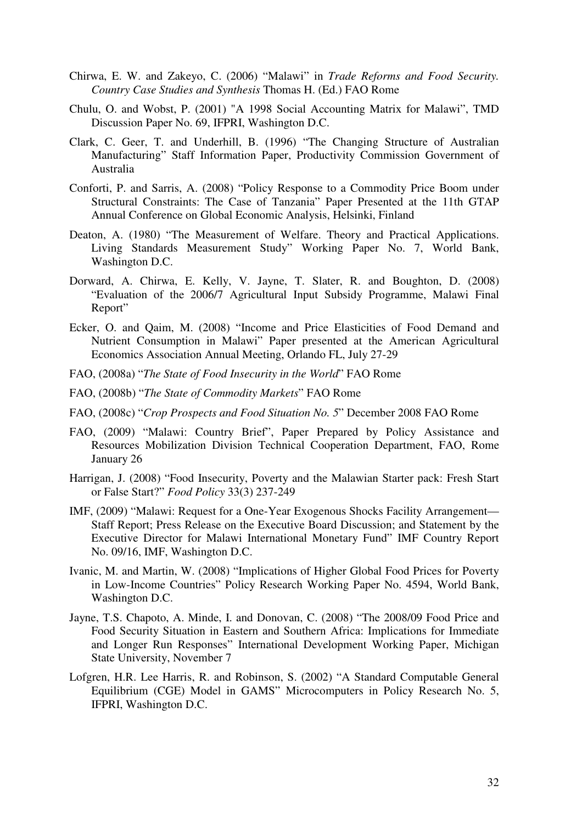- Chirwa, E. W. and Zakeyo, C. (2006) "Malawi" in *Trade Reforms and Food Security. Country Case Studies and Synthesis* Thomas H. (Ed.) FAO Rome
- Chulu, O. and Wobst, P. (2001) "A 1998 Social Accounting Matrix for Malawi", TMD Discussion Paper No. 69, IFPRI, Washington D.C.
- Clark, C. Geer, T. and Underhill, B. (1996) "The Changing Structure of Australian Manufacturing" Staff Information Paper, Productivity Commission Government of Australia
- Conforti, P. and Sarris, A. (2008) "Policy Response to a Commodity Price Boom under Structural Constraints: The Case of Tanzania" Paper Presented at the 11th GTAP Annual Conference on Global Economic Analysis, Helsinki, Finland
- Deaton, A. (1980) "The Measurement of Welfare. Theory and Practical Applications. Living Standards Measurement Study" Working Paper No. 7, World Bank, Washington D.C.
- Dorward, A. Chirwa, E. Kelly, V. Jayne, T. Slater, R. and Boughton, D. (2008) "Evaluation of the 2006/7 Agricultural Input Subsidy Programme, Malawi Final Report"
- Ecker, O. and Qaim, M. (2008) "Income and Price Elasticities of Food Demand and Nutrient Consumption in Malawi" Paper presented at the American Agricultural Economics Association Annual Meeting, Orlando FL, July 27-29
- FAO, (2008a) "*The State of Food Insecurity in the World*" FAO Rome
- FAO, (2008b) "*The State of Commodity Markets*" FAO Rome
- FAO, (2008c) "*Crop Prospects and Food Situation No. 5*" December 2008 FAO Rome
- FAO, (2009) "Malawi: Country Brief", Paper Prepared by Policy Assistance and Resources Mobilization Division Technical Cooperation Department, FAO, Rome January 26
- Harrigan, J. (2008) "Food Insecurity, Poverty and the Malawian Starter pack: Fresh Start or False Start?" *Food Policy* 33(3) 237-249
- IMF, (2009) "Malawi: Request for a One-Year Exogenous Shocks Facility Arrangement— Staff Report; Press Release on the Executive Board Discussion; and Statement by the Executive Director for Malawi International Monetary Fund" IMF Country Report No. 09/16, IMF, Washington D.C.
- Ivanic, M. and Martin, W. (2008) "Implications of Higher Global Food Prices for Poverty in Low-Income Countries" Policy Research Working Paper No. 4594, World Bank, Washington D.C.
- Jayne, T.S. Chapoto, A. Minde, I. and Donovan, C. (2008) "The 2008/09 Food Price and Food Security Situation in Eastern and Southern Africa: Implications for Immediate and Longer Run Responses" International Development Working Paper, Michigan State University, November 7
- Lofgren, H.R. Lee Harris, R. and Robinson, S. (2002) "A Standard Computable General Equilibrium (CGE) Model in GAMS" Microcomputers in Policy Research No. 5, IFPRI, Washington D.C.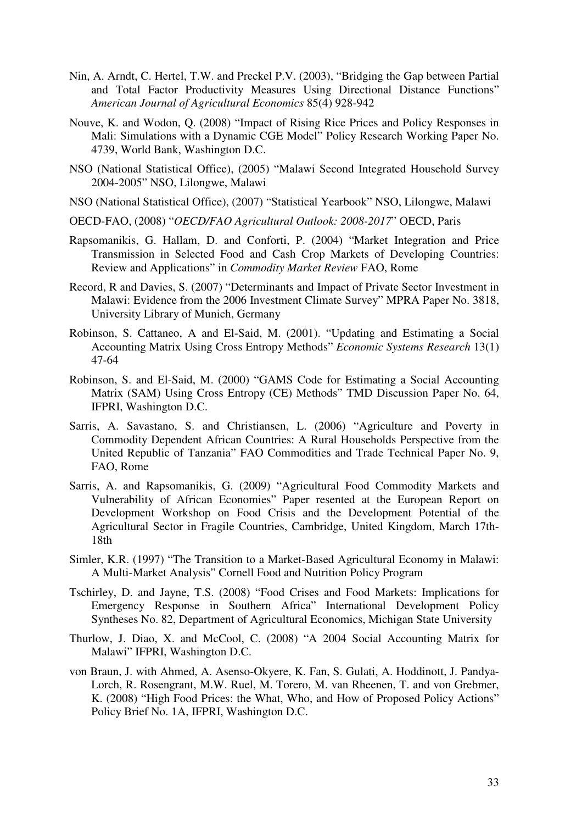- Nin, A. Arndt, C. Hertel, T.W. and Preckel P.V. (2003), "Bridging the Gap between Partial and Total Factor Productivity Measures Using Directional Distance Functions" *American Journal of Agricultural Economics* 85(4) 928-942
- Nouve, K. and Wodon, Q. (2008) "Impact of Rising Rice Prices and Policy Responses in Mali: Simulations with a Dynamic CGE Model" Policy Research Working Paper No. 4739, World Bank, Washington D.C.
- NSO (National Statistical Office), (2005) "Malawi Second Integrated Household Survey 2004-2005" NSO, Lilongwe, Malawi
- NSO (National Statistical Office), (2007) "Statistical Yearbook" NSO, Lilongwe, Malawi
- OECD-FAO, (2008) "*OECD/FAO Agricultural Outlook: 2008-2017*" OECD, Paris
- Rapsomanikis, G. Hallam, D. and Conforti, P. (2004) "Market Integration and Price Transmission in Selected Food and Cash Crop Markets of Developing Countries: Review and Applications" in *Commodity Market Review* FAO, Rome
- Record, R and Davies, S. (2007) "Determinants and Impact of Private Sector Investment in Malawi: Evidence from the 2006 Investment Climate Survey" MPRA Paper No. 3818, University Library of Munich, Germany
- Robinson, S. Cattaneo, A and El-Said, M. (2001). "Updating and Estimating a Social Accounting Matrix Using Cross Entropy Methods" *Economic Systems Research* 13(1) 47-64
- Robinson, S. and El-Said, M. (2000) "GAMS Code for Estimating a Social Accounting Matrix (SAM) Using Cross Entropy (CE) Methods" TMD Discussion Paper No. 64, IFPRI, Washington D.C.
- Sarris, A. Savastano, S. and Christiansen, L. (2006) "Agriculture and Poverty in Commodity Dependent African Countries: A Rural Households Perspective from the United Republic of Tanzania" FAO Commodities and Trade Technical Paper No. 9, FAO, Rome
- Sarris, A. and Rapsomanikis, G. (2009) "Agricultural Food Commodity Markets and Vulnerability of African Economies" Paper resented at the European Report on Development Workshop on Food Crisis and the Development Potential of the Agricultural Sector in Fragile Countries, Cambridge, United Kingdom, March 17th-18th
- Simler, K.R. (1997) "The Transition to a Market-Based Agricultural Economy in Malawi: A Multi-Market Analysis" Cornell Food and Nutrition Policy Program
- Tschirley, D. and Jayne, T.S. (2008) "Food Crises and Food Markets: Implications for Emergency Response in Southern Africa" International Development Policy Syntheses No. 82, Department of Agricultural Economics, Michigan State University
- Thurlow, J. Diao, X. and McCool, C. (2008) "A 2004 Social Accounting Matrix for Malawi" IFPRI, Washington D.C.
- von Braun, J. with Ahmed, A. Asenso-Okyere, K. Fan, S. Gulati, A. Hoddinott, J. Pandya-Lorch, R. Rosengrant, M.W. Ruel, M. Torero, M. van Rheenen, T. and von Grebmer, K. (2008) "High Food Prices: the What, Who, and How of Proposed Policy Actions" Policy Brief No. 1A, IFPRI, Washington D.C.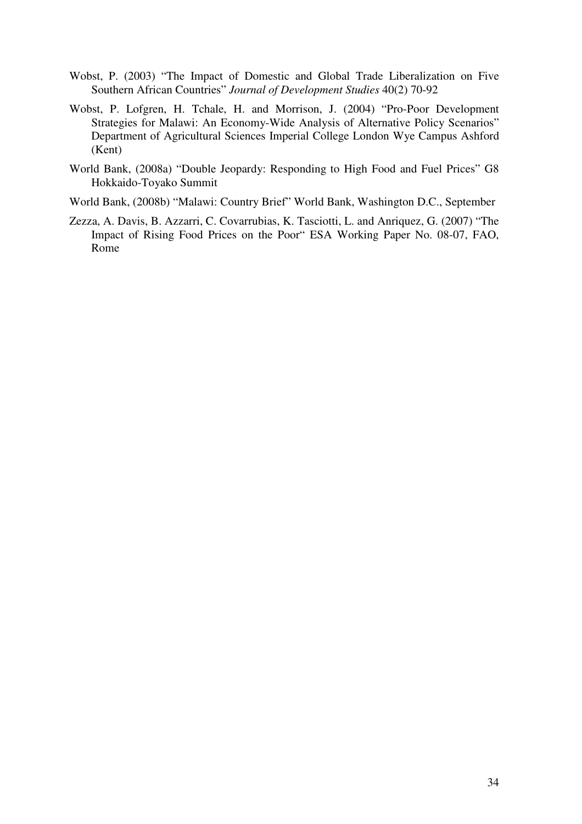- Wobst, P. (2003) "The Impact of Domestic and Global Trade Liberalization on Five Southern African Countries" *Journal of Development Studies* 40(2) 70-92
- Wobst, P. Lofgren, H. Tchale, H. and Morrison, J. (2004) "Pro-Poor Development Strategies for Malawi: An Economy-Wide Analysis of Alternative Policy Scenarios" Department of Agricultural Sciences Imperial College London Wye Campus Ashford (Kent)
- World Bank, (2008a) "Double Jeopardy: Responding to High Food and Fuel Prices" G8 Hokkaido-Toyako Summit
- World Bank, (2008b) "Malawi: Country Brief" World Bank, Washington D.C., September
- Zezza, A. Davis, B. Azzarri, C. Covarrubias, K. Tasciotti, L. and Anriquez, G. (2007) "The Impact of Rising Food Prices on the Poor" ESA Working Paper No. 08-07, FAO, Rome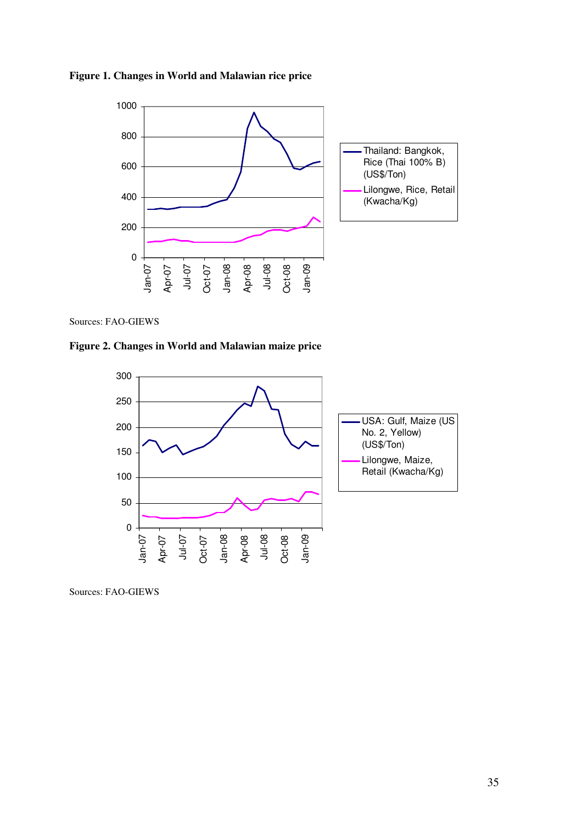



Sources: FAO-GIEWS

**Figure 2. Changes in World and Malawian maize price** 



Sources: FAO-GIEWS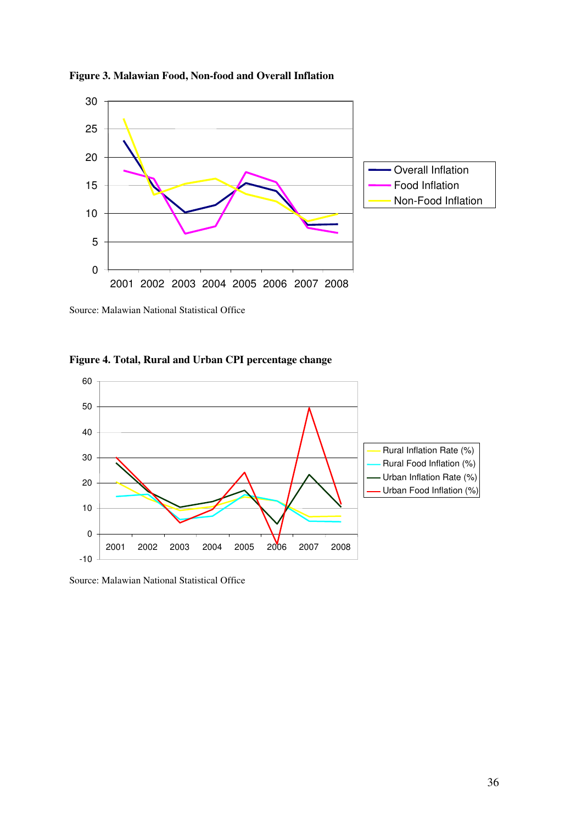



Source: Malawian National Statistical Office

**Figure 4. Total, Rural and Urban CPI percentage change** 



Source: Malawian National Statistical Office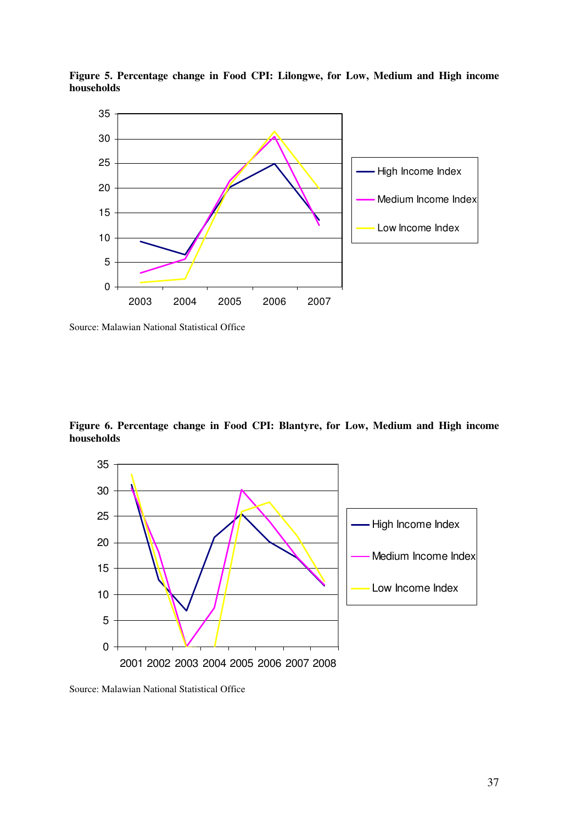

**Figure 5. Percentage change in Food CPI: Lilongwe, for Low, Medium and High income households** 

Source: Malawian National Statistical Office

**Figure 6. Percentage change in Food CPI: Blantyre, for Low, Medium and High income households** 



Source: Malawian National Statistical Office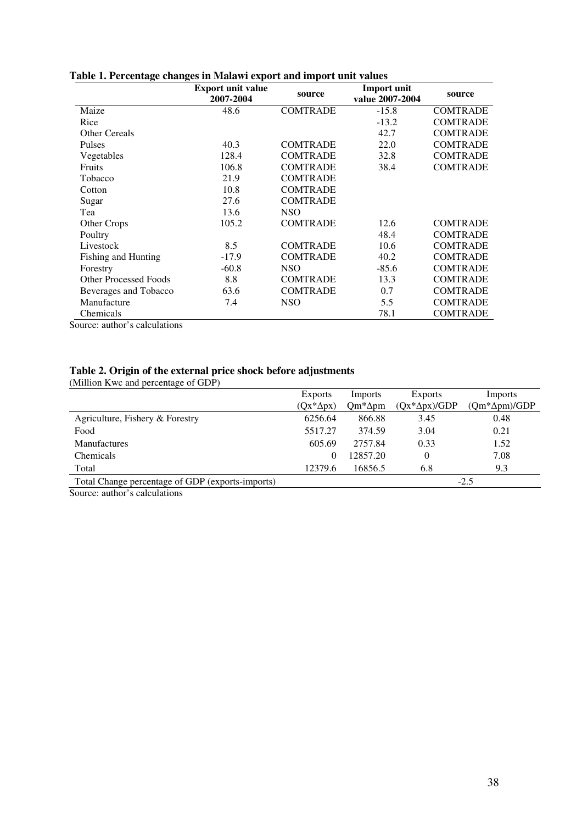|                              | <b>Export unit value</b><br>2007-2004 | source          | <b>Import unit</b><br>value 2007-2004 | source          |
|------------------------------|---------------------------------------|-----------------|---------------------------------------|-----------------|
| Maize                        | 48.6                                  | <b>COMTRADE</b> | $-15.8$                               | <b>COMTRADE</b> |
| Rice                         |                                       |                 | $-13.2$                               | <b>COMTRADE</b> |
| Other Cereals                |                                       |                 | 42.7                                  | <b>COMTRADE</b> |
| <b>Pulses</b>                | 40.3                                  | <b>COMTRADE</b> | 22.0                                  | <b>COMTRADE</b> |
| Vegetables                   | 128.4                                 | <b>COMTRADE</b> | 32.8                                  | <b>COMTRADE</b> |
| <b>Fruits</b>                | 106.8                                 | <b>COMTRADE</b> | 38.4                                  | <b>COMTRADE</b> |
| Tobacco                      | 21.9                                  | <b>COMTRADE</b> |                                       |                 |
| Cotton                       | 10.8                                  | <b>COMTRADE</b> |                                       |                 |
| Sugar                        | 27.6                                  | <b>COMTRADE</b> |                                       |                 |
| Tea                          | 13.6                                  | <b>NSO</b>      |                                       |                 |
| Other Crops                  | 105.2                                 | <b>COMTRADE</b> | 12.6                                  | <b>COMTRADE</b> |
| Poultry                      |                                       |                 | 48.4                                  | <b>COMTRADE</b> |
| Livestock                    | 8.5                                   | <b>COMTRADE</b> | 10.6                                  | <b>COMTRADE</b> |
| <b>Fishing and Hunting</b>   | $-17.9$                               | <b>COMTRADE</b> | 40.2                                  | <b>COMTRADE</b> |
| Forestry                     | $-60.8$                               | <b>NSO</b>      | $-85.6$                               | <b>COMTRADE</b> |
| <b>Other Processed Foods</b> | 8.8                                   | <b>COMTRADE</b> | 13.3                                  | <b>COMTRADE</b> |
| Beverages and Tobacco        | 63.6                                  | <b>COMTRADE</b> | 0.7                                   | <b>COMTRADE</b> |
| Manufacture                  | 7.4                                   | NSO             | 5.5                                   | <b>COMTRADE</b> |
| Chemicals                    |                                       |                 | 78.1                                  | <b>COMTRADE</b> |

## **Table 1. Percentage changes in Malawi export and import unit values**

Source: author's calculations

#### **Table 2. Origin of the external price shock before adjustments**

(Million Kwc and percentage of GDP)

|                                                  | <b>Exports</b>    | Imports         | Exports               | Imports               |
|--------------------------------------------------|-------------------|-----------------|-----------------------|-----------------------|
|                                                  | $(Qx^*\Delta px)$ | $Qm^*\Delta pm$ | $(Qx^*\Delta px)/GDP$ | $(Qm^*\Delta pm)/GDP$ |
| Agriculture, Fishery & Forestry                  | 6256.64           | 866.88          | 3.45                  | 0.48                  |
| Food                                             | 5517.27           | 374.59          | 3.04                  | 0.21                  |
| <b>Manufactures</b>                              | 605.69            | 2757.84         | 0.33                  | 1.52                  |
| <b>Chemicals</b>                                 | $\theta$          | 12857.20        | $\theta$              | 7.08                  |
| Total                                            | 12379.6           | 16856.5         | 6.8                   | 9.3                   |
| Total Change percentage of GDP (exports-imports) |                   |                 |                       | $-2.5$                |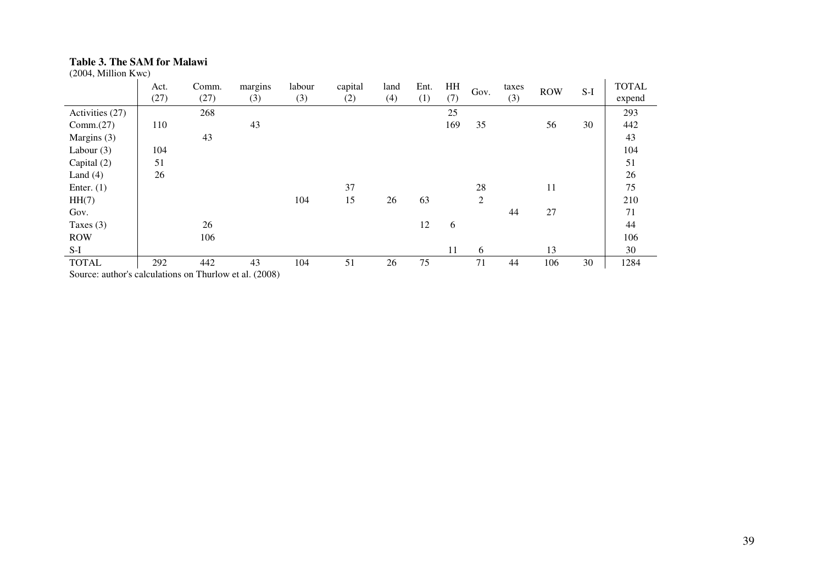## **Table 3. The SAM for Malawi**

(2004, Million Kwc)

| (2004, Million Kwc)                                    |              |               |                |               |                |             |             |           |                |              |            |       |                        |
|--------------------------------------------------------|--------------|---------------|----------------|---------------|----------------|-------------|-------------|-----------|----------------|--------------|------------|-------|------------------------|
|                                                        | Act.<br>(27) | Comm.<br>(27) | margins<br>(3) | labour<br>(3) | capital<br>(2) | land<br>(4) | Ent.<br>(1) | HH<br>(7) | Gov.           | taxes<br>(3) | <b>ROW</b> | $S-I$ | <b>TOTAL</b><br>expend |
| Activities (27)                                        |              | 268           |                |               |                |             |             | 25        |                |              |            |       | 293                    |
| Comm.(27)                                              | 110          |               | 43             |               |                |             |             | 169       | 35             |              | 56         | 30    | 442                    |
| Margins (3)                                            |              | 43            |                |               |                |             |             |           |                |              |            |       | 43                     |
| Labour $(3)$                                           | 104          |               |                |               |                |             |             |           |                |              |            |       | 104                    |
| Capital (2)                                            | 51           |               |                |               |                |             |             |           |                |              |            |       | 51                     |
| Land $(4)$                                             | 26           |               |                |               |                |             |             |           |                |              |            |       | 26                     |
| Enter. $(1)$                                           |              |               |                |               | 37             |             |             |           | 28             |              | 11         |       | 75                     |
| HH(7)                                                  |              |               |                | 104           | 15             | 26          | 63          |           | $\overline{2}$ |              |            |       | 210                    |
| Gov.                                                   |              |               |                |               |                |             |             |           |                | 44           | 27         |       | 71                     |
| Taxes $(3)$                                            |              | 26            |                |               |                |             | 12          | 6         |                |              |            |       | 44                     |
| <b>ROW</b>                                             |              | 106           |                |               |                |             |             |           |                |              |            |       | 106                    |
| $S-I$                                                  |              |               |                |               |                |             |             | 11        | 6              |              | 13         |       | 30                     |
| <b>TOTAL</b>                                           | 292          | 442           | 43             | 104           | 51             | 26          | 75          |           | 71             | 44           | 106        | 30    | 1284                   |
| Source: author's calculations on Thurlow et al. (2008) |              |               |                |               |                |             |             |           |                |              |            |       |                        |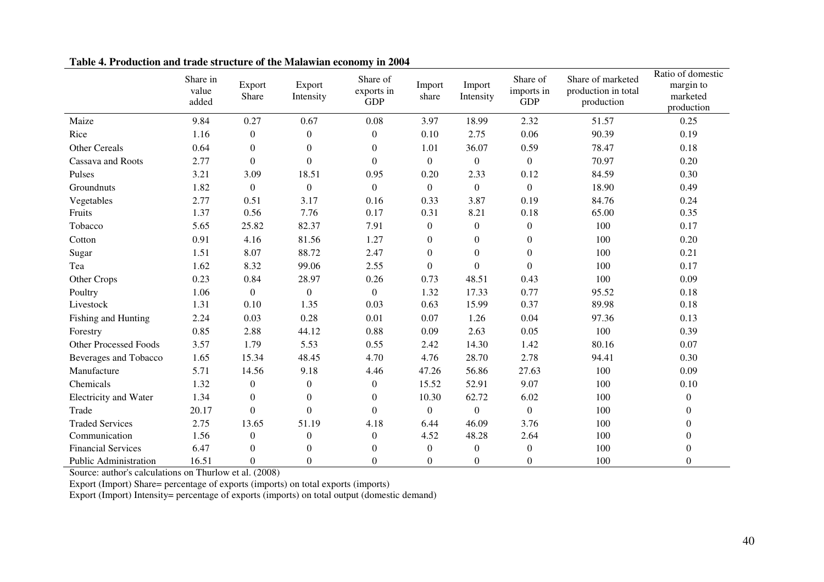|                              | Share in<br>value<br>added | Export<br>Share  | Export<br>Intensity | Share of<br>exports in<br><b>GDP</b> | Import<br>share  | Import<br>Intensity | Share of<br>imports in<br><b>GDP</b> | Share of marketed<br>production in total<br>production | Ratio of domestic<br>margin to<br>marketed<br>production |
|------------------------------|----------------------------|------------------|---------------------|--------------------------------------|------------------|---------------------|--------------------------------------|--------------------------------------------------------|----------------------------------------------------------|
| Maize                        | 9.84                       | 0.27             | 0.67                | 0.08                                 | 3.97             | 18.99               | 2.32                                 | 51.57                                                  | 0.25                                                     |
| Rice                         | 1.16                       | $\boldsymbol{0}$ | $\overline{0}$      | $\boldsymbol{0}$                     | 0.10             | 2.75                | 0.06                                 | 90.39                                                  | 0.19                                                     |
| Other Cereals                | 0.64                       | $\boldsymbol{0}$ | $\boldsymbol{0}$    | $\boldsymbol{0}$                     | 1.01             | 36.07               | 0.59                                 | 78.47                                                  | 0.18                                                     |
| Cassava and Roots            | 2.77                       | $\Omega$         | $\overline{0}$      | $\theta$                             | $\Omega$         | $\boldsymbol{0}$    | $\overline{0}$                       | 70.97                                                  | 0.20                                                     |
| Pulses                       | 3.21                       | 3.09             | 18.51               | 0.95                                 | 0.20             | 2.33                | 0.12                                 | 84.59                                                  | 0.30                                                     |
| Groundnuts                   | 1.82                       | $\boldsymbol{0}$ | $\mathbf{0}$        | $\theta$                             | $\theta$         | $\boldsymbol{0}$    | $\boldsymbol{0}$                     | 18.90                                                  | 0.49                                                     |
| Vegetables                   | 2.77                       | 0.51             | 3.17                | 0.16                                 | 0.33             | 3.87                | 0.19                                 | 84.76                                                  | 0.24                                                     |
| Fruits                       | 1.37                       | 0.56             | 7.76                | 0.17                                 | 0.31             | 8.21                | 0.18                                 | 65.00                                                  | 0.35                                                     |
| Tobacco                      | 5.65                       | 25.82            | 82.37               | 7.91                                 | $\boldsymbol{0}$ | $\boldsymbol{0}$    | $\boldsymbol{0}$                     | 100                                                    | 0.17                                                     |
| Cotton                       | 0.91                       | 4.16             | 81.56               | 1.27                                 | $\overline{0}$   | $\overline{0}$      | $\theta$                             | 100                                                    | 0.20                                                     |
| Sugar                        | 1.51                       | 8.07             | 88.72               | 2.47                                 | $\mathbf{0}$     | $\overline{0}$      | $\overline{0}$                       | 100                                                    | 0.21                                                     |
| Tea                          | 1.62                       | 8.32             | 99.06               | 2.55                                 | $\theta$         | $\Omega$            | $\theta$                             | 100                                                    | 0.17                                                     |
| Other Crops                  | 0.23                       | 0.84             | 28.97               | 0.26                                 | 0.73             | 48.51               | 0.43                                 | 100                                                    | 0.09                                                     |
| Poultry                      | 1.06                       | $\boldsymbol{0}$ | $\overline{0}$      | $\theta$                             | 1.32             | 17.33               | 0.77                                 | 95.52                                                  | 0.18                                                     |
| Livestock                    | 1.31                       | 0.10             | 1.35                | 0.03                                 | 0.63             | 15.99               | 0.37                                 | 89.98                                                  | 0.18                                                     |
| Fishing and Hunting          | 2.24                       | 0.03             | 0.28                | 0.01                                 | 0.07             | 1.26                | 0.04                                 | 97.36                                                  | 0.13                                                     |
| Forestry                     | 0.85                       | 2.88             | 44.12               | 0.88                                 | 0.09             | 2.63                | 0.05                                 | 100                                                    | 0.39                                                     |
| <b>Other Processed Foods</b> | 3.57                       | 1.79             | 5.53                | 0.55                                 | 2.42             | 14.30               | 1.42                                 | 80.16                                                  | 0.07                                                     |
| Beverages and Tobacco        | 1.65                       | 15.34            | 48.45               | 4.70                                 | 4.76             | 28.70               | 2.78                                 | 94.41                                                  | 0.30                                                     |
| Manufacture                  | 5.71                       | 14.56            | 9.18                | 4.46                                 | 47.26            | 56.86               | 27.63                                | 100                                                    | 0.09                                                     |
| Chemicals                    | 1.32                       | $\boldsymbol{0}$ | $\overline{0}$      | $\boldsymbol{0}$                     | 15.52            | 52.91               | 9.07                                 | 100                                                    | 0.10                                                     |
| <b>Electricity and Water</b> | 1.34                       | $\boldsymbol{0}$ | $\mathbf{0}$        | $\boldsymbol{0}$                     | 10.30            | 62.72               | 6.02                                 | 100                                                    | $\boldsymbol{0}$                                         |
| Trade                        | 20.17                      | $\theta$         | $\boldsymbol{0}$    | $\overline{0}$                       | $\overline{0}$   | $\boldsymbol{0}$    | $\boldsymbol{0}$                     | 100                                                    | $\overline{0}$                                           |
| <b>Traded Services</b>       | 2.75                       | 13.65            | 51.19               | 4.18                                 | 6.44             | 46.09               | 3.76                                 | 100                                                    | $\boldsymbol{0}$                                         |
| Communication                | 1.56                       | $\mathbf{0}$     | $\boldsymbol{0}$    | $\boldsymbol{0}$                     | 4.52             | 48.28               | 2.64                                 | 100                                                    | $\Omega$                                                 |
| <b>Financial Services</b>    | 6.47                       | $\mathbf{0}$     | $\mathbf{0}$        | $\mathbf{0}$                         | $\overline{0}$   | $\boldsymbol{0}$    | $\boldsymbol{0}$                     | 100                                                    | $\mathbf{0}$                                             |
| Public Administration        | 16.51                      | $\theta$         | $\overline{0}$      | $\boldsymbol{0}$                     | $\theta$         | $\theta$            | $\Omega$                             | 100                                                    | $\mathbf{0}$                                             |

**Table 4. Production and trade structure of the Malawian economy in 2004** 

Source: author's calculations on Thurlow et al. (2008)

Export (Import) Share= percentage of exports (imports) on total exports (imports) Export (Import) Intensity= percentage of exports (imports) on total output (domestic demand)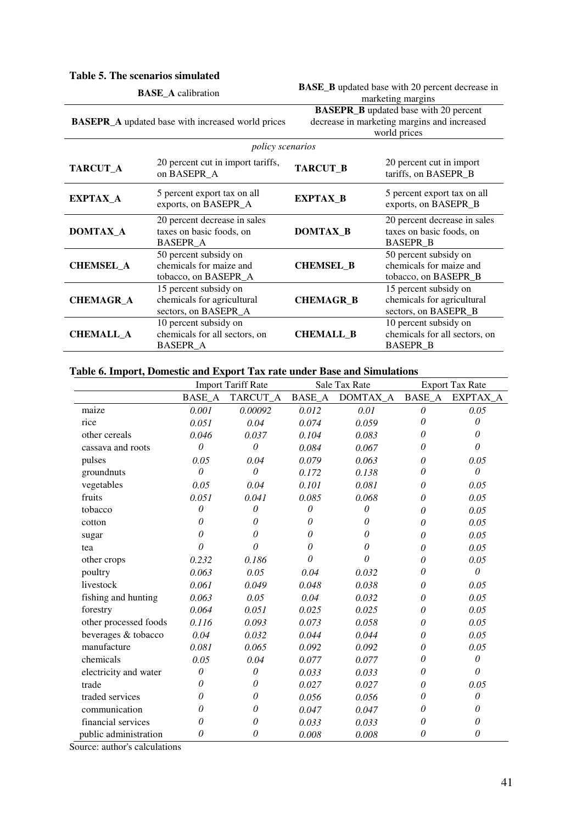### **Table 5. The scenarios simulated**

|                  | <b>BASE_A</b> calibration                                                   | <b>BASE_B</b> updated base with 20 percent decrease in                                                      |                                                                             |  |  |  |
|------------------|-----------------------------------------------------------------------------|-------------------------------------------------------------------------------------------------------------|-----------------------------------------------------------------------------|--|--|--|
|                  |                                                                             | marketing margins                                                                                           |                                                                             |  |  |  |
|                  | <b>BASEPR_A</b> updated base with increased world prices                    | <b>BASEPR_B</b> updated base with 20 percent<br>decrease in marketing margins and increased<br>world prices |                                                                             |  |  |  |
|                  | policy scenarios                                                            |                                                                                                             |                                                                             |  |  |  |
| TARCUT_A         | 20 percent cut in import tariffs,<br>on BASEPR A                            | TARCUT_B                                                                                                    | 20 percent cut in import<br>tariffs, on BASEPR_B                            |  |  |  |
| EXPTAX_A         | 5 percent export tax on all<br>exports, on BASEPR_A                         | <b>EXPTAX_B</b>                                                                                             | 5 percent export tax on all<br>exports, on BASEPR_B                         |  |  |  |
| DOMTAX A         | 20 percent decrease in sales<br>taxes on basic foods, on<br><b>BASEPR_A</b> | DOMTAX B                                                                                                    | 20 percent decrease in sales<br>taxes on basic foods, on<br><b>BASEPR_B</b> |  |  |  |
| <b>CHEMSEL A</b> | 50 percent subsidy on<br>chemicals for maize and<br>tobacco, on BASEPR_A    | <b>CHEMSEL B</b>                                                                                            | 50 percent subsidy on<br>chemicals for maize and<br>tobacco, on BASEPR_B    |  |  |  |
| <b>CHEMAGR A</b> | 15 percent subsidy on<br>chemicals for agricultural<br>sectors, on BASEPR_A | <b>CHEMAGR_B</b>                                                                                            | 15 percent subsidy on<br>chemicals for agricultural<br>sectors, on BASEPR_B |  |  |  |
| <b>CHEMALL A</b> | 10 percent subsidy on<br>chemicals for all sectors, on<br><b>BASEPR_A</b>   | <b>CHEMALL B</b>                                                                                            | 10 percent subsidy on<br>chemicals for all sectors, on<br><b>BASEPR B</b>   |  |  |  |

# **Table 6. Import, Domestic and Export Tax rate under Base and Simulations**

|                       | <b>Import Tariff Rate</b> |          |               | Sale Tax Rate | <b>Export Tax Rate</b> |          |
|-----------------------|---------------------------|----------|---------------|---------------|------------------------|----------|
|                       | <b>BASE A</b>             | TARCUT A | <b>BASE A</b> | DOMTAX A      | <b>BASE A</b>          | EXPTAX A |
| maize                 | 0.001                     | 0.00092  | 0.012         | 0.01          | $\theta$               | 0.05     |
| rice                  | 0.051                     | 0.04     | 0.074         | 0.059         | 0                      | 0        |
| other cereals         | 0.046                     | 0.037    | 0.104         | 0.083         | $\theta$               | 0        |
| cassava and roots     | 0                         | $\theta$ | 0.084         | 0.067         | $\theta$               | $\theta$ |
| pulses                | 0.05                      | 0.04     | 0.079         | 0.063         | $\theta$               | 0.05     |
| groundnuts            | $\theta$                  | $\theta$ | 0.172         | 0.138         | 0                      | $\theta$ |
| vegetables            | 0.05                      | 0.04     | 0.101         | 0.081         | $\theta$               | 0.05     |
| fruits                | 0.051                     | 0.041    | 0.085         | 0.068         | $\theta$               | 0.05     |
| tobacco               | 0                         | $\theta$ | $\theta$      | $\theta$      | $\theta$               | 0.05     |
| cotton                | 0                         | 0        | 0             | $\theta$      | $\theta$               | 0.05     |
| sugar                 | O                         | 0        | 0             | 0             | $\theta$               | 0.05     |
| tea                   | 0                         | $\theta$ | 0             | 0             | $\theta$               | 0.05     |
| other crops           | 0.232                     | 0.186    | $\theta$      | 0             | $\theta$               | 0.05     |
| poultry               | 0.063                     | 0.05     | 0.04          | 0.032         | $\theta$               | $\theta$ |
| livestock             | 0.061                     | 0.049    | 0.048         | 0.038         | $\theta$               | 0.05     |
| fishing and hunting   | 0.063                     | 0.05     | 0.04          | 0.032         | $\theta$               | 0.05     |
| forestry              | 0.064                     | 0.051    | 0.025         | 0.025         | 0                      | 0.05     |
| other processed foods | 0.116                     | 0.093    | 0.073         | 0.058         | $\theta$               | 0.05     |
| beverages & tobacco   | 0.04                      | 0.032    | 0.044         | 0.044         | 0                      | 0.05     |
| manufacture           | 0.081                     | 0.065    | 0.092         | 0.092         | 0                      | 0.05     |
| chemicals             | 0.05                      | 0.04     | 0.077         | 0.077         | 0                      | $\theta$ |
| electricity and water | 0                         | $\theta$ | 0.033         | 0.033         | $\theta$               | $\theta$ |
| trade                 | 0                         | 0        | 0.027         | 0.027         | $\theta$               | 0.05     |
| traded services       | 0                         | $\theta$ | 0.056         | 0.056         | 0                      | 0        |
| communication         | 0                         | 0        | 0.047         | 0.047         | $\theta$               | 0        |
| financial services    | 0                         | 0        | 0.033         | 0.033         | $\theta$               | 0        |
| public administration | 0                         | 0        | 0.008         | 0.008         | $\theta$               | 0        |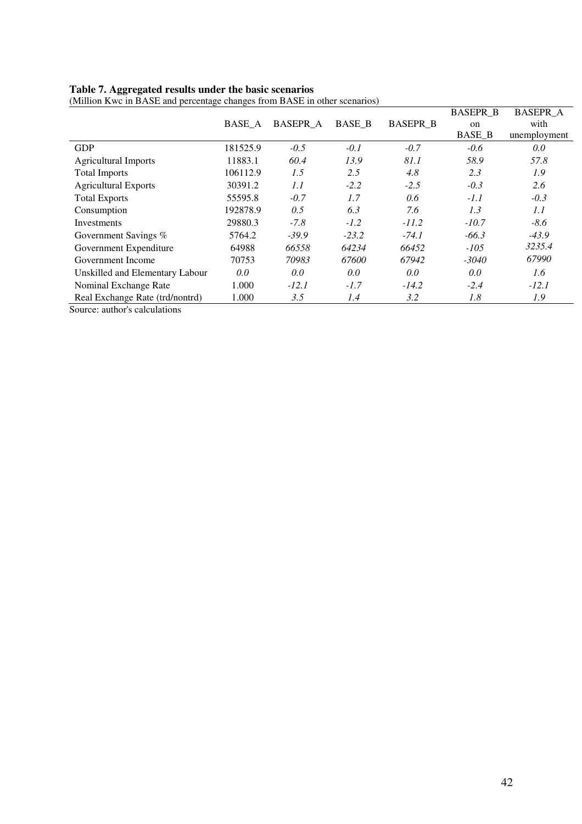#### **Table 7. Aggregated results under the basic scenarios**

|                                 |          |                 |               |                 | <b>BASEPR B</b> | <b>BASEPR A</b> |
|---------------------------------|----------|-----------------|---------------|-----------------|-----------------|-----------------|
|                                 | BASE A   | <b>BASEPR_A</b> | <b>BASE B</b> | <b>BASEPR B</b> | on              | with            |
|                                 |          |                 |               |                 | <b>BASE B</b>   | unemployment    |
| <b>GDP</b>                      | 181525.9 | $-0.5$          | $-0.1$        | $-0.7$          | $-0.6$          | 0.0             |
| <b>Agricultural Imports</b>     | 11883.1  | 60.4            | 13.9          | 81.1            | 58.9            | 57.8            |
| <b>Total Imports</b>            | 106112.9 | 1.5             | 2.5           | 4.8             | 2.3             | 1.9             |
| <b>Agricultural Exports</b>     | 30391.2  | 1.1             | $-2.2$        | $-2.5$          | $-0.3$          | 2.6             |
| <b>Total Exports</b>            | 55595.8  | $-0.7$          | 1.7           | 0.6             | $-1.1$          | $-0.3$          |
| Consumption                     | 192878.9 | 0.5             | 6.3           | 7.6             | 1.3             | 1.1             |
| <b>Investments</b>              | 29880.3  | $-7.8$          | $-1.2$        | $-11.2$         | $-10.7$         | $-8.6$          |
| Government Savings %            | 5764.2   | $-39.9$         | $-23.2$       | $-74.1$         | $-66.3$         | $-43.9$         |
| Government Expenditure          | 64988    | 66558           | 64234         | 66452           | $-105$          | 3235.4          |
| Government Income               | 70753    | 70983           | 67600         | 67942           | $-3040$         | 67990           |
| Unskilled and Elementary Labour | 0.0      | 0.0             | 0.0           | 0.0             | 0.0             | 1.6             |
| Nominal Exchange Rate           | 1.000    | $-12.1$         | $-1.7$        | $-14.2$         | $-2.4$          | $-12.1$         |
| Real Exchange Rate (trd/nontrd) | 1.000    | 3.5             | 1.4           | 3.2             | 1.8             | 1.9             |
| Source: author's calculations   |          |                 |               |                 |                 |                 |

(Million Kwc in BASE and percentage changes from BASE in other scenarios)

42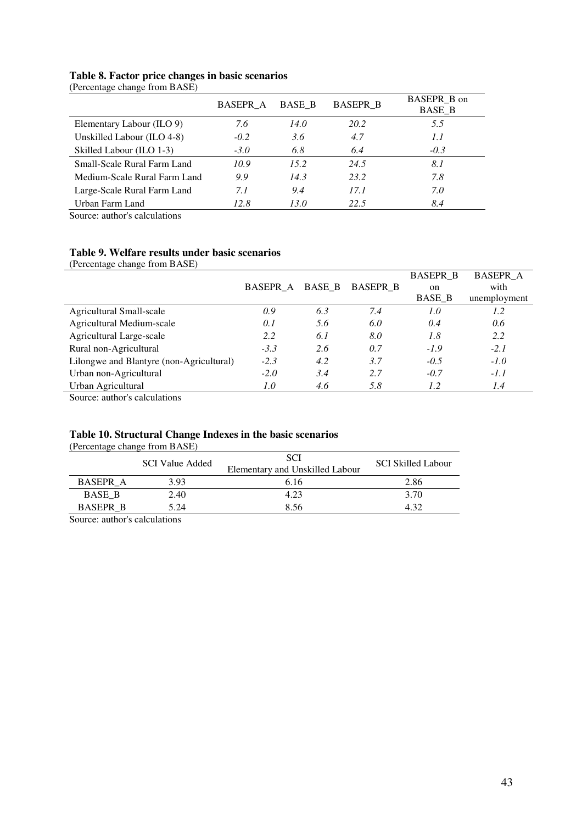## **Table 8. Factor price changes in basic scenarios**

(Percentage change from BASE)

|                              | BASEPR A | <b>BASE B</b> | <b>BASEPR B</b> | BASEPR B on<br><b>BASE B</b> |
|------------------------------|----------|---------------|-----------------|------------------------------|
| Elementary Labour (ILO 9)    | 7.6      | 14.0          | 20.2            | 5.5                          |
| Unskilled Labour (ILO 4-8)   | $-0.2$   | 3.6           | 4.7             | 1.1                          |
| Skilled Labour (ILO 1-3)     | $-3.0$   | 6.8           | 6.4             | $-0.3$                       |
| Small-Scale Rural Farm Land  | 10.9     | 15.2          | 24.5            | 8.1                          |
| Medium-Scale Rural Farm Land | 9.9      | 14.3          | 23.2            | 7.8                          |
| Large-Scale Rural Farm Land  | 7.1      | 9.4           | 17.1            | 7.0                          |
| Urban Farm Land              | 12.8     | 13.0          | 22.5            | 8.4                          |

Source: author's calculations

# **Table 9. Welfare results under basic scenarios**

(Percentage change from BASE)

|                                          |                 |        |                 | <b>BASEPR B</b> | <b>BASEPR A</b> |
|------------------------------------------|-----------------|--------|-----------------|-----------------|-----------------|
|                                          | <b>BASEPR A</b> | BASE B | <b>BASEPR B</b> | on              | with            |
|                                          |                 |        |                 | <b>BASE B</b>   | unemployment    |
| Agricultural Small-scale                 | 0.9             | 6.3    | 7.4             | 1.0             | 1.2             |
| Agricultural Medium-scale                | 0.1             | 5.6    | 6.0             | 0.4             | 0.6             |
| Agricultural Large-scale                 | 2.2             | 6.1    | 8.0             | 1.8             | 2.2             |
| Rural non-Agricultural                   | $-3.3$          | 2.6    | 0.7             | $-1.9$          | $-2.1$          |
| Lilongwe and Blantyre (non-Agricultural) | $-2.3$          | 4.2    | 3.7             | $-0.5$          | $-1.0$          |
| Urban non-Agricultural                   | $-2.0$          | 3.4    | 2.7             | $-0.7$          | $-1.1$          |
| Urban Agricultural                       | 1.0             | 4.6    | 5.8             | 1.2             | 1.4             |

Source: author's calculations

# **Table 10. Structural Change Indexes in the basic scenarios**

(Percentage change from BASE)

|                 | $\alpha$ creenage enange from $B_1$ to $B_2$ |                                               |                           |
|-----------------|----------------------------------------------|-----------------------------------------------|---------------------------|
|                 | <b>SCI Value Added</b>                       | <b>SCI</b><br>Elementary and Unskilled Labour | <b>SCI Skilled Labour</b> |
| BASEPR A        | 3.93                                         | 6.16                                          | 2.86                      |
| <b>BASE B</b>   | 2.40                                         | 4.23                                          | 3.70                      |
| <b>BASEPR B</b> | 5.24                                         | 8.56                                          | 4.32                      |
|                 | .                                            |                                               |                           |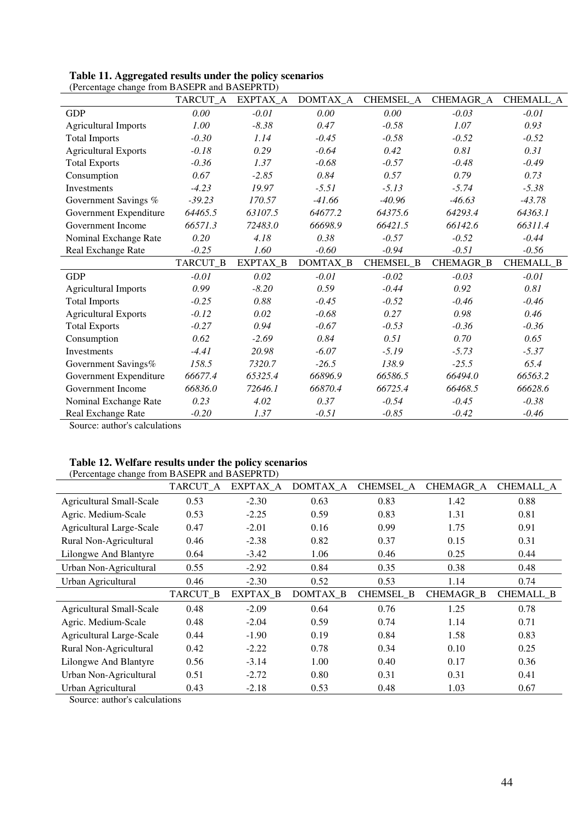|                              | TARCUT_A | EXPTAX_A | DOMTAX_A | CHEMSEL_A | CHEMAGR_A        | CHEMALL_A        |
|------------------------------|----------|----------|----------|-----------|------------------|------------------|
| <b>GDP</b>                   | 0.00     | $-0.01$  | 0.00     | 0.00      | $-0.03$          | $-0.01$          |
| <b>Agricultural Imports</b>  | 1.00     | $-8.38$  | 0.47     | $-0.58$   | 1.07             | 0.93             |
| <b>Total Imports</b>         | $-0.30$  | 1.14     | $-0.45$  | $-0.58$   | $-0.52$          | $-0.52$          |
| <b>Agricultural Exports</b>  | $-0.18$  | 0.29     | $-0.64$  | 0.42      | 0.81             | 0.31             |
| <b>Total Exports</b>         | $-0.36$  | 1.37     | $-0.68$  | $-0.57$   | $-0.48$          | $-0.49$          |
| Consumption                  | 0.67     | $-2.85$  | 0.84     | 0.57      | 0.79             | 0.73             |
| Investments                  | $-4.23$  | 19.97    | $-5.51$  | $-5.13$   | $-5.74$          | $-5.38$          |
| Government Savings %         | $-39.23$ | 170.57   | $-41.66$ | $-40.96$  | $-46.63$         | $-43.78$         |
| Government Expenditure       | 64465.5  | 63107.5  | 64677.2  | 64375.6   | 64293.4          | 64363.1          |
| Government Income            | 66571.3  | 72483.0  | 66698.9  | 66421.5   | 66142.6          | 66311.4          |
| Nominal Exchange Rate        | 0.20     | 4.18     | 0.38     | $-0.57$   | $-0.52$          | $-0.44$          |
| Real Exchange Rate           | $-0.25$  | 1.60     | $-0.60$  | $-0.94$   | $-0.51$          | $-0.56$          |
|                              | TARCUT_B | EXPTAX_B | DOMTAX_B | CHEMSEL_B | <b>CHEMAGR_B</b> | <b>CHEMALL_B</b> |
| <b>GDP</b>                   | $-0.01$  | 0.02     | $-0.01$  | $-0.02$   | $-0.03$          | $-0.01$          |
| <b>Agricultural Imports</b>  | 0.99     | $-8.20$  | 0.59     | $-0.44$   | 0.92             | 0.81             |
| <b>Total Imports</b>         | $-0.25$  | 0.88     | $-0.45$  | $-0.52$   | $-0.46$          | $-0.46$          |
| <b>Agricultural Exports</b>  | $-0.12$  | 0.02     | $-0.68$  | 0.27      | 0.98             | 0.46             |
| <b>Total Exports</b>         | $-0.27$  | 0.94     | $-0.67$  | $-0.53$   | $-0.36$          | $-0.36$          |
| Consumption                  | 0.62     | $-2.69$  | 0.84     | 0.51      | 0.70             | 0.65             |
| Investments                  | $-4.41$  | 20.98    | $-6.07$  | $-5.19$   | $-5.73$          | $-5.37$          |
| Government Savings%          | 158.5    | 7320.7   | $-26.5$  | 138.9     | $-25.5$          | 65.4             |
| Government Expenditure       | 66677.4  | 65325.4  | 66896.9  | 66586.5   | 66494.0          | 66563.2          |
| Government Income            | 66836.0  | 72646.1  | 66870.4  | 66725.4   | 66468.5          | 66628.6          |
| Nominal Exchange Rate        | 0.23     | 4.02     | 0.37     | $-0.54$   | $-0.45$          | $-0.38$          |
| Real Exchange Rate<br>$\sim$ | $-0.20$  | 1.37     | $-0.51$  | $-0.85$   | $-0.42$          | $-0.46$          |

| Table 11. Aggregated results under the policy scenarios |
|---------------------------------------------------------|
| (Percentage change from BASEPR and BASEPRTD)            |

Source: author's calculations

# **Table 12. Welfare results under the policy scenarios**

| (Percentage change from BASEPR and BASEPRTD) |          |          |          |                  |                  |                  |
|----------------------------------------------|----------|----------|----------|------------------|------------------|------------------|
|                                              | TARCUT_A | EXPTAX_A | DOMTAX_A | CHEMSEL A        | CHEMAGR_A        | CHEMALL_A        |
| <b>Agricultural Small-Scale</b>              | 0.53     | $-2.30$  | 0.63     | 0.83             | 1.42             | 0.88             |
| Agric. Medium-Scale                          | 0.53     | $-2.25$  | 0.59     | 0.83             | 1.31             | 0.81             |
| Agricultural Large-Scale                     | 0.47     | $-2.01$  | 0.16     | 0.99             | 1.75             | 0.91             |
| Rural Non-Agricultural                       | 0.46     | $-2.38$  | 0.82     | 0.37             | 0.15             | 0.31             |
| Lilongwe And Blantyre                        | 0.64     | $-3.42$  | 1.06     | 0.46             | 0.25             | 0.44             |
| Urban Non-Agricultural                       | 0.55     | $-2.92$  | 0.84     | 0.35             | 0.38             | 0.48             |
| Urban Agricultural                           | 0.46     | $-2.30$  | 0.52     | 0.53             | 1.14             | 0.74             |
|                                              | TARCUT_B | EXPTAX_B | DOMTAX_B | <b>CHEMSEL_B</b> | <b>CHEMAGR B</b> | <b>CHEMALL_B</b> |
| <b>Agricultural Small-Scale</b>              | 0.48     | $-2.09$  | 0.64     | 0.76             | 1.25             | 0.78             |
| Agric. Medium-Scale                          | 0.48     | $-2.04$  | 0.59     | 0.74             | 1.14             | 0.71             |
| <b>Agricultural Large-Scale</b>              | 0.44     | $-1.90$  | 0.19     | 0.84             | 1.58             | 0.83             |
| Rural Non-Agricultural                       | 0.42     | $-2.22$  | 0.78     | 0.34             | 0.10             | 0.25             |
| Lilongwe And Blantyre                        | 0.56     | $-3.14$  | 1.00     | 0.40             | 0.17             | 0.36             |
| Urban Non-Agricultural                       | 0.51     | $-2.72$  | 0.80     | 0.31             | 0.31             | 0.41             |
| Urban Agricultural                           | 0.43     | $-2.18$  | 0.53     | 0.48             | 1.03             | 0.67             |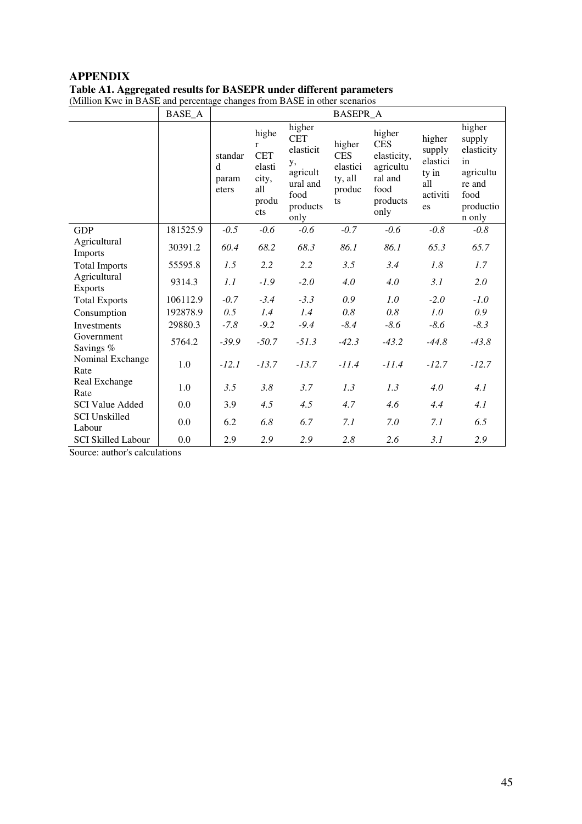# **APPENDIX Table A1. Aggregated results for BASEPR under different parameters**

(Million Kwc in BASE and percentage changes from BASE in other scenarios

|                                | <b>BASE_A</b> | <b>BASEPR_A</b>                |                                                                               |                                                                                             |                                                             |                                                                                         |                                                                |                                                                                            |
|--------------------------------|---------------|--------------------------------|-------------------------------------------------------------------------------|---------------------------------------------------------------------------------------------|-------------------------------------------------------------|-----------------------------------------------------------------------------------------|----------------------------------------------------------------|--------------------------------------------------------------------------------------------|
|                                |               | standar<br>d<br>param<br>eters | highe<br>$\mathbf{r}$<br><b>CET</b><br>elasti<br>city,<br>all<br>produ<br>cts | higher<br><b>CET</b><br>elasticit<br>у,<br>agricult<br>ural and<br>food<br>products<br>only | higher<br><b>CES</b><br>elastici<br>ty, all<br>produc<br>ts | higher<br><b>CES</b><br>elasticity,<br>agricultu<br>ral and<br>food<br>products<br>only | higher<br>supply<br>elastici<br>ty in<br>all<br>activiti<br>es | higher<br>supply<br>elasticity<br>in<br>agricultu<br>re and<br>food<br>productio<br>n only |
| <b>GDP</b>                     | 181525.9      | $-0.5$                         | $-0.6$                                                                        | $-0.6$                                                                                      | $-0.7$                                                      | $-0.6$                                                                                  | $-0.8$                                                         | $-0.8$                                                                                     |
| Agricultural<br>Imports        | 30391.2       | 60.4                           | 68.2                                                                          | 68.3                                                                                        | 86.1                                                        | 86.1                                                                                    | 65.3                                                           | 65.7                                                                                       |
| <b>Total Imports</b>           | 55595.8       | 1.5                            | 2.2                                                                           | 2.2                                                                                         | 3.5                                                         | 3.4                                                                                     | 1.8                                                            | 1.7                                                                                        |
| Agricultural<br><b>Exports</b> | 9314.3        | 1.1                            | $-1.9$                                                                        | $-2.0$                                                                                      | 4.0                                                         | 4.0                                                                                     | 3.1                                                            | 2.0                                                                                        |
| <b>Total Exports</b>           | 106112.9      | $-0.7$                         | $-3.4$                                                                        | $-3.3$                                                                                      | 0.9                                                         | 1.0                                                                                     | $-2.0$                                                         | $-1.0$                                                                                     |
| Consumption                    | 192878.9      | 0.5                            | 1.4                                                                           | 1.4                                                                                         | 0.8                                                         | 0.8                                                                                     | 1.0                                                            | 0.9                                                                                        |
| <b>Investments</b>             | 29880.3       | $-7.8$                         | $-9.2$                                                                        | $-9.4$                                                                                      | $-8.4$                                                      | $-8.6$                                                                                  | $-8.6$                                                         | $-8.3$                                                                                     |
| Government<br>Savings %        | 5764.2        | $-39.9$                        | $-50.7$                                                                       | $-51.3$                                                                                     | $-42.3$                                                     | $-43.2$                                                                                 | $-44.8$                                                        | $-43.8$                                                                                    |
| Nominal Exchange<br>Rate       | 1.0           | $-12.1$                        | $-13.7$                                                                       | $-13.7$                                                                                     | $-11.4$                                                     | $-11.4$                                                                                 | $-12.7$                                                        | $-12.7$                                                                                    |
| Real Exchange<br>Rate          | 1.0           | 3.5                            | 3.8                                                                           | 3.7                                                                                         | 1.3                                                         | 1.3                                                                                     | 4.0                                                            | 4.1                                                                                        |
| <b>SCI Value Added</b>         | 0.0           | 3.9                            | 4.5                                                                           | 4.5                                                                                         | 4.7                                                         | 4.6                                                                                     | 4.4                                                            | 4.1                                                                                        |
| <b>SCI Unskilled</b><br>Labour | 0.0           | 6.2                            | 6.8                                                                           | 6.7                                                                                         | 7.1                                                         | 7.0                                                                                     | 7.1                                                            | 6.5                                                                                        |
| <b>SCI Skilled Labour</b>      | 0.0           | 2.9                            | 2.9                                                                           | 2.9                                                                                         | 2.8                                                         | 2.6                                                                                     | 3.1                                                            | 2.9                                                                                        |